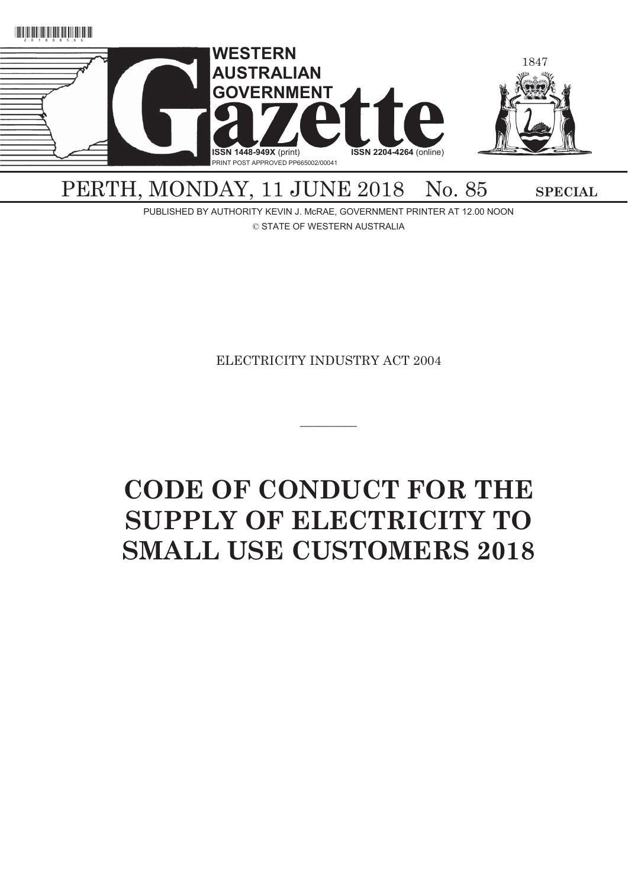

# PERTH, MONDAY, 11 JUNE 2018 No. 85 SPECIAL

PUBLISHED BY AUTHORITY KEVIN J. McRAE, GOVERNMENT PRINTER AT 12.00 NOON © STATE OF WESTERN AUSTRALIA

ELECTRICITY INDUSTRY ACT 2004

 $\overline{\phantom{a}}$ 

# **CODE OF CONDUCT FOR THE SUPPLY OF ELECTRICITY TO SMALL USE CUSTOMERS 2018**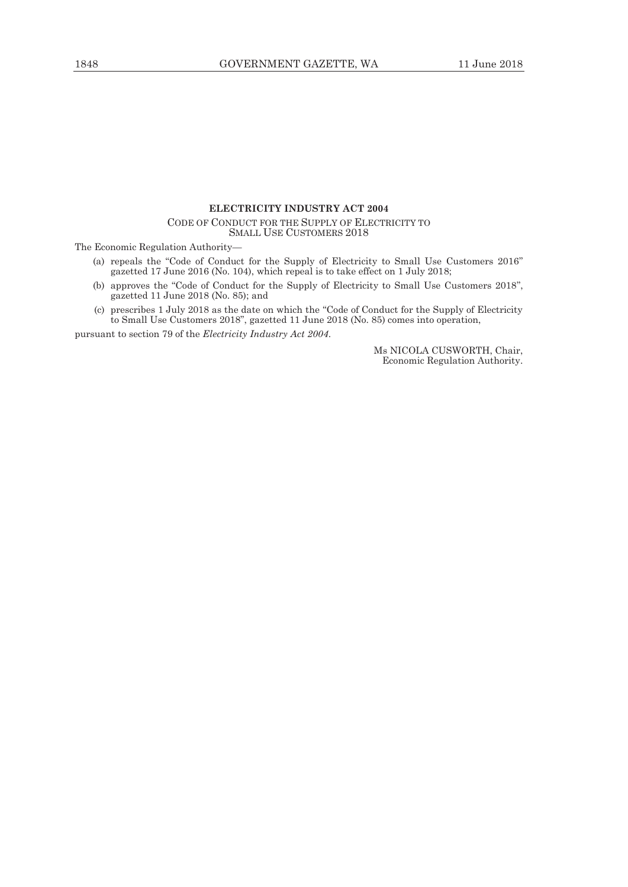# **ELECTRICITY INDUSTRY ACT 2004**

CODE OF CONDUCT FOR THE SUPPLY OF ELECTRICITY TO SMALL USE CUSTOMERS 2018

The Economic Regulation Authority—

- (a) repeals the "Code of Conduct for the Supply of Electricity to Small Use Customers 2016" gazetted 17 June 2016 (No. 104), which repeal is to take effect on 1 July 2018;
- (b) approves the "Code of Conduct for the Supply of Electricity to Small Use Customers 2018", gazetted 11 June 2018 (No. 85); and
- (c) prescribes 1 July 2018 as the date on which the "Code of Conduct for the Supply of Electricity to Small Use Customers 2018", gazetted 11 June 2018 (No. 85) comes into operation,

pursuant to section 79 of the *Electricity Industry Act 2004*.

Ms NICOLA CUSWORTH, Chair, Economic Regulation Authority.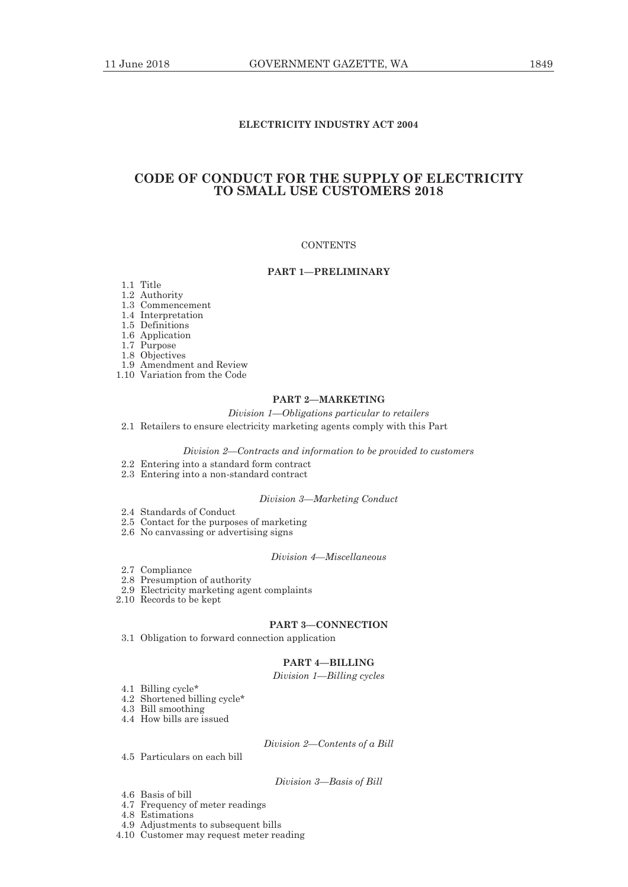# **ELECTRICITY INDUSTRY ACT 2004**

# **CODE OF CONDUCT FOR THE SUPPLY OF ELECTRICITY TO SMALL USE CUSTOMERS 2018**

# **CONTENTS**

# **PART 1—PRELIMINARY**

- 1.1 Title
- 1.2 Authority
- 1.3 Commencement
- 1.4 Interpretation
- 1.5 Definitions
- 1.6 Application
- 1.7 Purpose
- 1.8 Objectives
- 1.9 Amendment and Review
- 1.10 Variation from the Code

# **PART 2—MARKETING**

# *Division 1—Obligations particular to retailers*

2.1 Retailers to ensure electricity marketing agents comply with this Part

*Division 2—Contracts and information to be provided to customers* 

- 2.2 Entering into a standard form contract
- 2.3 Entering into a non-standard contract

#### *Division 3—Marketing Conduct*

- 2.4 Standards of Conduct
- 2.5 Contact for the purposes of marketing
- 2.6 No canvassing or advertising signs

# *Division 4—Miscellaneous*

- 2.7 Compliance
- 2.8 Presumption of authority
- 2.9 Electricity marketing agent complaints
- 2.10 Records to be kept

# **PART 3—CONNECTION**

3.1 Obligation to forward connection application

# **PART 4—BILLING**

*Division 1—Billing cycles* 

- 4.1 Billing cycle\*
- 4.2 Shortened billing cycle\*
- 4.3 Bill smoothing
- 4.4 How bills are issued

*Division 2—Contents of a Bill* 

4.5 Particulars on each bill

## *Division 3—Basis of Bill*

- 4.6 Basis of bill
- 4.7 Frequency of meter readings
- 4.8 Estimations
- 4.9 Adjustments to subsequent bills
- 4.10 Customer may request meter reading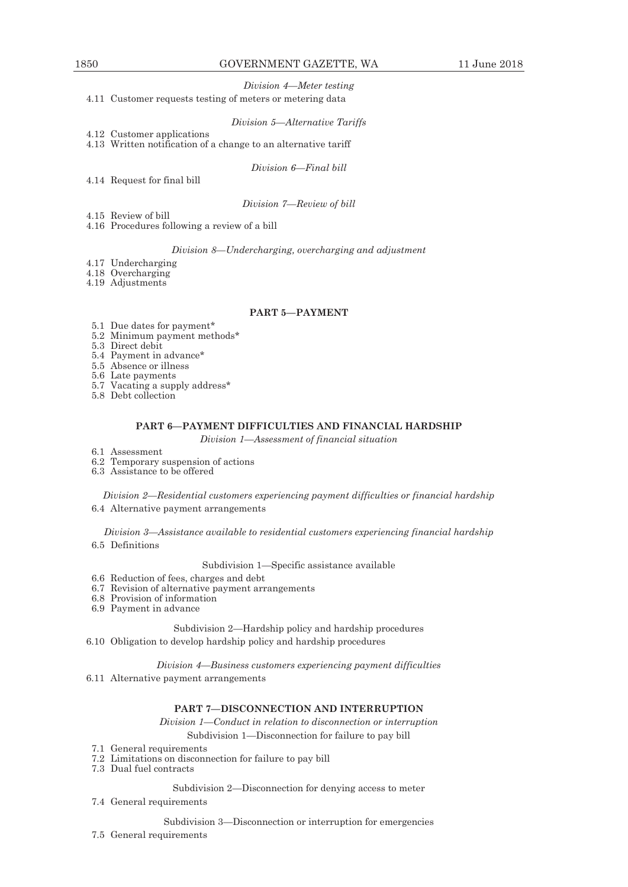# *Division 4—Meter testing*

4.11 Customer requests testing of meters or metering data

#### *Division 5—Alternative Tariffs*

4.12 Customer applications

4.13 Written notification of a change to an alternative tariff

*Division 6—Final bill* 

4.14 Request for final bill

*Division 7—Review of bill* 

- 4.15 Review of bill
- 4.16 Procedures following a review of a bill

# *Division 8—Undercharging, overcharging and adjustment*

4.17 Undercharging

4.18 Overcharging

4.19 Adjustments

# **PART 5—PAYMENT**

- 5.1 Due dates for payment\*
- 5.2 Minimum payment methods\*
- 5.3 Direct debit
- 5.4 Payment in advance\*
- 5.5 Absence or illness
- 5.6 Late payments
- 5.7 Vacating a supply address\*
- 5.8 Debt collection

# **PART 6—PAYMENT DIFFICULTIES AND FINANCIAL HARDSHIP**

*Division 1—Assessment of financial situation* 

- 6.1 Assessment
- 6.2 Temporary suspension of actions
	- 6.3 Assistance to be offered

*Division 2—Residential customers experiencing payment difficulties or financial hardship*  6.4 Alternative payment arrangements

*Division 3—Assistance available to residential customers experiencing financial hardship*  6.5 Definitions

#### Subdivision 1—Specific assistance available

- 6.6 Reduction of fees, charges and debt
- 6.7 Revision of alternative payment arrangements
- 6.8 Provision of information
- 6.9 Payment in advance

Subdivision 2—Hardship policy and hardship procedures 6.10 Obligation to develop hardship policy and hardship procedures

*Division 4—Business customers experiencing payment difficulties* 

6.11 Alternative payment arrangements

# **PART 7—DISCONNECTION AND INTERRUPTION**

*Division 1—Conduct in relation to disconnection or interruption*  Subdivision 1—Disconnection for failure to pay bill

- 7.1 General requirements
- 7.2 Limitations on disconnection for failure to pay bill
- 7.3 Dual fuel contracts

# Subdivision 2—Disconnection for denying access to meter

7.4 General requirements

#### Subdivision 3—Disconnection or interruption for emergencies

7.5 General requirements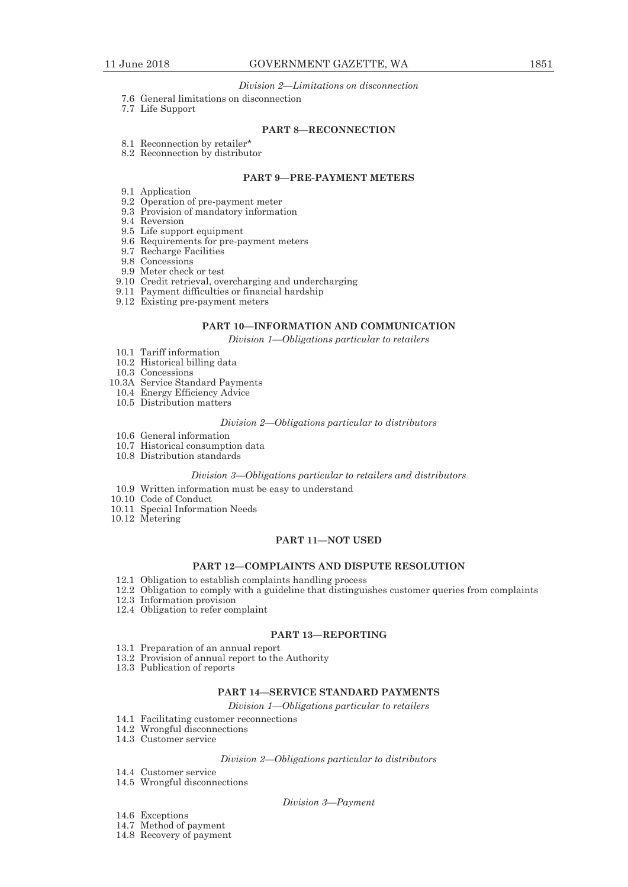## *Division 2—Limitations on disconnection*

- 7.6 General limitations on disconnection
- 7.7 Life Support

# **PART 8—RECONNECTION**

- 8.1 Reconnection by retailer\*
- 8.2 Reconnection by distributor

# **PART 9—PRE-PAYMENT METERS**

- 9.1 Application
- 9.2 Operation of pre-payment meter
- 9.3 Provision of mandatory information
- 9.4 Reversion
- 9.5 Life support equipment
- 9.6 Requirements for pre-payment meters
- 9.7 Recharge Facilities
- 9.8 Concessions
- 9.9 Meter check or test
- 9.10 Credit retrieval, overcharging and undercharging
- 9.11 Payment difficulties or financial hardship
- 9.12 Existing pre-payment meters

# **PART 10—INFORMATION AND COMMUNICATION**

*Division 1—Obligations particular to retailers* 

- 10.1 Tariff information
- 10.2 Historical billing data
- 10.3 Concessions
- 10.3A Service Standard Payments
- 10.4 Energy Efficiency Advice
- 10.5 Distribution matters

## *Division 2—Obligations particular to distributors*

- 10.6 General information
- 10.7 Historical consumption data
- 10.8 Distribution standards

#### *Division 3—Obligations particular to retailers and distributors*

- 10.9 Written information must be easy to understand
- 10.10 Code of Conduct
- 10.11 Special Information Needs
- 10.12 Metering

# **PART 11—NOT USED**

# **PART 12—COMPLAINTS AND DISPUTE RESOLUTION**

- 12.1 Obligation to establish complaints handling process
- 12.2 Obligation to comply with a guideline that distinguishes customer queries from complaints
- 12.3 Information provision
- 12.4 Obligation to refer complaint

#### **PART 13—REPORTING**

- 13.1 Preparation of an annual report
- 13.2 Provision of annual report to the Authority
- 13.3 Publication of reports

# **PART 14—SERVICE STANDARD PAYMENTS**

*Division 1—Obligations particular to retailers* 

- 14.1 Facilitating customer reconnections
- 14.2 Wrongful disconnections
- 14.3 Customer service

#### *Division 2—Obligations particular to distributors*

 14.4 Customer service 14.5 Wrongful disconnections

## *Division 3—Payment*

- 14.6 Exceptions
- 14.7 Method of payment
- 14.8 Recovery of payment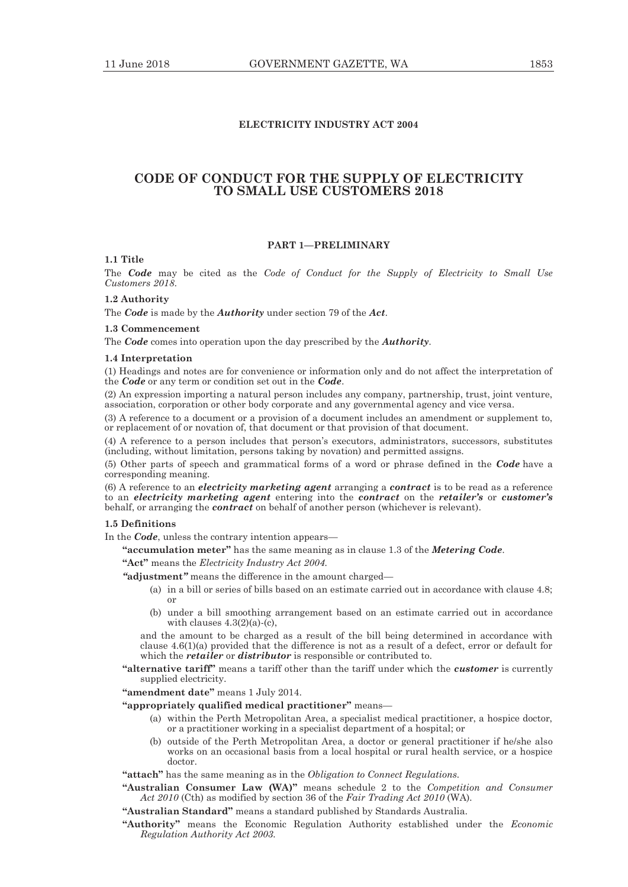# **ELECTRICITY INDUSTRY ACT 2004**

# **CODE OF CONDUCT FOR THE SUPPLY OF ELECTRICITY TO SMALL USE CUSTOMERS 2018**

# **PART 1—PRELIMINARY**

# **1.1 Title**

The *Code* may be cited as the *Code of Conduct for the Supply of Electricity to Small Use Customers 2018*.

# **1.2 Authority**

The *Code* is made by the *Authority* under section 79 of the *Act*.

# **1.3 Commencement**

The *Code* comes into operation upon the day prescribed by the *Authority*.

#### **1.4 Interpretation**

(1) Headings and notes are for convenience or information only and do not affect the interpretation of the *Code* or any term or condition set out in the *Code*.

(2) An expression importing a natural person includes any company, partnership, trust, joint venture, association, corporation or other body corporate and any governmental agency and vice versa.

(3) A reference to a document or a provision of a document includes an amendment or supplement to, or replacement of or novation of, that document or that provision of that document.

(4) A reference to a person includes that person's executors, administrators, successors, substitutes (including, without limitation, persons taking by novation) and permitted assigns.

(5) Other parts of speech and grammatical forms of a word or phrase defined in the *Code* have a corresponding meaning.

(6) A reference to an *electricity marketing agent* arranging a *contract* is to be read as a reference to an *electricity marketing agent* entering into the *contract* on the *retailer's* or *customer's* behalf, or arranging the *contract* on behalf of another person (whichever is relevant).

# **1.5 Definitions**

In the *Code*, unless the contrary intention appears—

**"accumulation meter"** has the same meaning as in clause 1.3 of the *Metering Code*.

**"Act"** means the *Electricity Industry Act 2004.*

*"***adjustment***"* means the difference in the amount charged—

- (a) in a bill or series of bills based on an estimate carried out in accordance with clause 4.8; or
- (b) under a bill smoothing arrangement based on an estimate carried out in accordance with clauses  $4.3(2)(a)$ - $(c)$ ,

and the amount to be charged as a result of the bill being determined in accordance with clause 4.6(1)(a) provided that the difference is not as a result of a defect, error or default for which the *retailer* or *distributor* is responsible or contributed to.

**"alternative tariff"** means a tariff other than the tariff under which the *customer* is currently supplied electricity.

**"amendment date"** means 1 July 2014.

#### **"appropriately qualified medical practitioner"** means—

- (a) within the Perth Metropolitan Area, a specialist medical practitioner, a hospice doctor, or a practitioner working in a specialist department of a hospital; or
- (b) outside of the Perth Metropolitan Area, a doctor or general practitioner if he/she also works on an occasional basis from a local hospital or rural health service, or a hospice doctor.

## **"attach"** has the same meaning as in the *Obligation to Connect Regulations.*

- **"Australian Consumer Law (WA)"** means schedule 2 to the *Competition and Consumer Act 2010* (Cth) as modified by section 36 of the *Fair Trading Act 2010* (WA)*.*
- **"Australian Standard"** means a standard published by Standards Australia.
- **"Authority"** means the Economic Regulation Authority established under the *Economic Regulation Authority Act 2003.*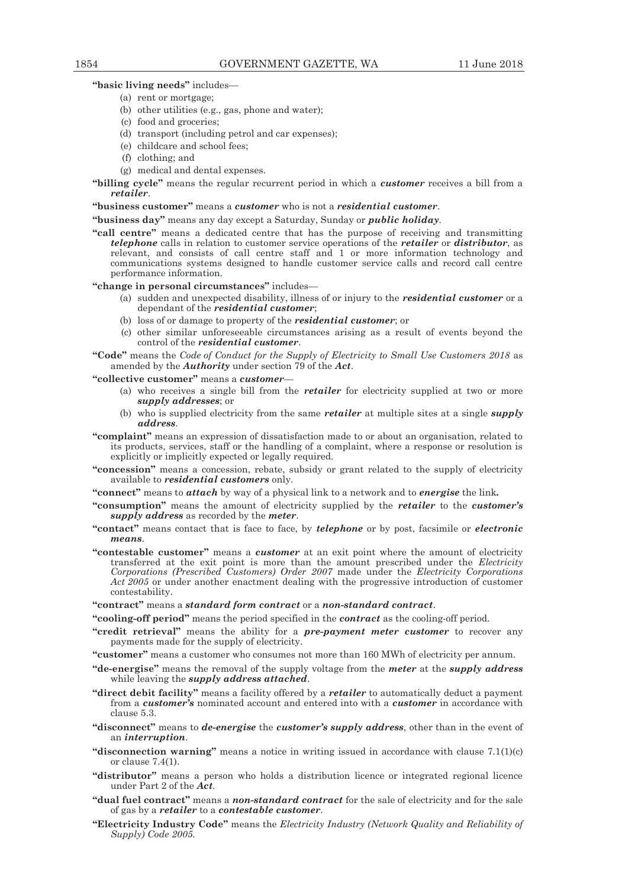# **"basic living needs"** includes—

- (a) rent or mortgage;
- (b) other utilities (e.g., gas, phone and water);
- (c) food and groceries;
- (d) transport (including petrol and car expenses);
- (e) childcare and school fees;
- (f) clothing; and
- (g) medical and dental expenses.
- **"billing cycle"** means the regular recurrent period in which a *customer* receives a bill from a *retailer*.

#### **"business customer"** means a *customer* who is not a *residential customer*.

**"business day"** means any day except a Saturday, Sunday or *public holiday*.

**"call centre"** means a dedicated centre that has the purpose of receiving and transmitting *telephone* calls in relation to customer service operations of the *retailer* or *distributor*, as relevant, and consists of call centre staff and 1 or more information technology and communications systems designed to handle customer service calls and record call centre performance information.

# **"change in personal circumstances"** includes—

- (a) sudden and unexpected disability, illness of or injury to the *residential customer* or a dependant of the *residential customer*;
- (b) loss of or damage to property of the *residential customer*; or
- (c) other similar unforeseeable circumstances arising as a result of events beyond the control of the *residential customer*.

**"Code"** means the *Code of Conduct for the Supply of Electricity to Small Use Customers 2018* as amended by the *Authority* under section 79 of the *Act*.

# **"collective customer"** means a *customer*—

- (a) who receives a single bill from the *retailer* for electricity supplied at two or more *supply addresses*; or
- (b) who is supplied electricity from the same *retailer* at multiple sites at a single *supply address*.
- **"complaint"** means an expression of dissatisfaction made to or about an organisation, related to its products, services, staff or the handling of a complaint, where a response or resolution is explicitly or implicitly expected or legally required.
- **"concession"** means a concession, rebate, subsidy or grant related to the supply of electricity available to *residential customers* only.
- **"connect"** means to *attach* by way of a physical link to a network and to *energise* the link*.*
- **"consumption"** means the amount of electricity supplied by the *retailer* to the *customer's supply address* as recorded by the *meter*.
- **"contact"** means contact that is face to face, by *telephone* or by post, facsimile or *electronic means*.
- **"contestable customer"** means a *customer* at an exit point where the amount of electricity transferred at the exit point is more than the amount prescribed under the *Electricity Corporations (Prescribed Customers) Order 2007* made under the *Electricity Corporations Act 2005* or under another enactment dealing with the progressive introduction of customer contestability.
- **"contract"** means a *standard form contract* or a *non-standard contract*.

**"cooling-off period"** means the period specified in the *contract* as the cooling-off period.

- **"credit retrieval"** means the ability for a *pre-payment meter customer* to recover any payments made for the supply of electricity.
- **"customer"** means a customer who consumes not more than 160 MWh of electricity per annum.
- **"de-energise"** means the removal of the supply voltage from the *meter* at the *supply address*  while leaving the *supply address attached*.
- **"direct debit facility"** means a facility offered by a *retailer* to automatically deduct a payment from a *customer's* nominated account and entered into with a *customer* in accordance with clause 5.3.
- **"disconnect"** means to *de-energise* the *customer's supply address*, other than in the event of an *interruption*.
- **"disconnection warning"** means a notice in writing issued in accordance with clause 7.1(1)(c) or clause 7.4(1).
- **"distributor"** means a person who holds a distribution licence or integrated regional licence under Part 2 of the *Act.*
- **"dual fuel contract"** means a *non-standard contract* for the sale of electricity and for the sale of gas by a *retailer* to a *contestable customer*.
- **"Electricity Industry Code"** means the *Electricity Industry (Network Quality and Reliability of Supply) Code 2005.*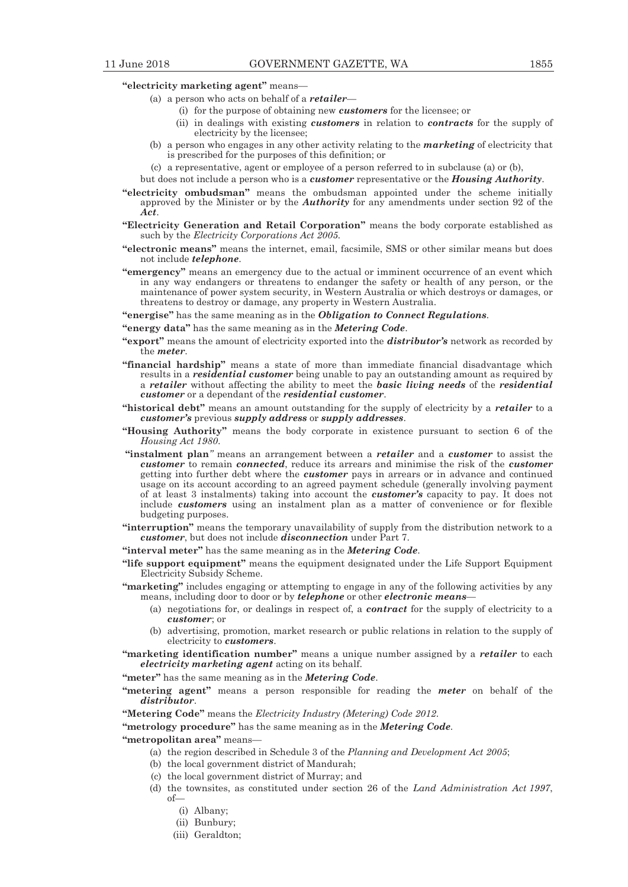# **"electricity marketing agent"** means—

- (a) a person who acts on behalf of a *retailer*
	- (i) for the purpose of obtaining new *customers* for the licensee; or
	- (ii) in dealings with existing *customers* in relation to *contracts* for the supply of electricity by the licensee;
- (b) a person who engages in any other activity relating to the *marketing* of electricity that is prescribed for the purposes of this definition; or
- (c) a representative, agent or employee of a person referred to in subclause (a) or (b),
- but does not include a person who is a *customer* representative or the *Housing Authority*.
- **"electricity ombudsman"** means the ombudsman appointed under the scheme initially approved by the Minister or by the *Authority* for any amendments under section 92 of the *Act*.
- **"Electricity Generation and Retail Corporation"** means the body corporate established as such by the *Electricity Corporations Act 2005.*
- **"electronic means"** means the internet, email, facsimile, SMS or other similar means but does not include *telephone*.
- **"emergency"** means an emergency due to the actual or imminent occurrence of an event which in any way endangers or threatens to endanger the safety or health of any person, or the maintenance of power system security, in Western Australia or which destroys or damages, or threatens to destroy or damage, any property in Western Australia.
- **"energise"** has the same meaning as in the *Obligation to Connect Regulations.*
- **"energy data"** has the same meaning as in the *Metering Code*.
- **"export"** means the amount of electricity exported into the *distributor's* network as recorded by the *meter*.
- **"financial hardship"** means a state of more than immediate financial disadvantage which results in a *residential customer* being unable to pay an outstanding amount as required by a *retailer* without affecting the ability to meet the *basic living needs* of the *residential customer* or a dependant of the *residential customer*.
- **"historical debt"** means an amount outstanding for the supply of electricity by a *retailer* to a *customer's* previous *supply address* or *supply addresses*.
- **"Housing Authority"** means the body corporate in existence pursuant to section 6 of the *Housing Act 1980*.
- **"instalment plan***"* means an arrangement between a *retailer* and a *customer* to assist the *customer* to remain *connected*, reduce its arrears and minimise the risk of the *customer* getting into further debt where the *customer* pays in arrears or in advance and continued usage on its account according to an agreed payment schedule (generally involving payment of at least 3 instalments) taking into account the *customer's* capacity to pay. It does not include *customers* using an instalment plan as a matter of convenience or for flexible budgeting purposes.
- **"interruption"** means the temporary unavailability of supply from the distribution network to a *customer*, but does not include *disconnection* under Part 7.
- **"interval meter"** has the same meaning as in the *Metering Code*.
- **"life support equipment"** means the equipment designated under the Life Support Equipment Electricity Subsidy Scheme.
- **"marketing"** includes engaging or attempting to engage in any of the following activities by any means, including door to door or by *telephone* or other *electronic means*—
	- (a) negotiations for, or dealings in respect of, a *contract* for the supply of electricity to a *customer*; or
	- (b) advertising, promotion, market research or public relations in relation to the supply of electricity to *customers*.
- **"marketing identification number"** means a unique number assigned by a *retailer* to each *electricity marketing agent* acting on its behalf.
- **"meter"** has the same meaning as in the *Metering Code*.
- **"metering agent"** means a person responsible for reading the *meter* on behalf of the *distributor*.
- **"Metering Code"** means the *Electricity Industry (Metering) Code 2012*.

**"metrology procedure"** has the same meaning as in the *Metering Code*.

- **"metropolitan area"** means—
	- (a) the region described in Schedule 3 of the *Planning and Development Act 2005*;
	- (b) the local government district of Mandurah;
	- (c) the local government district of Murray; and
	- (d) the townsites, as constituted under section 26 of the *Land Administration Act 1997*, of—
		- (i) Albany;
		- (ii) Bunbury;
		- (iii) Geraldton;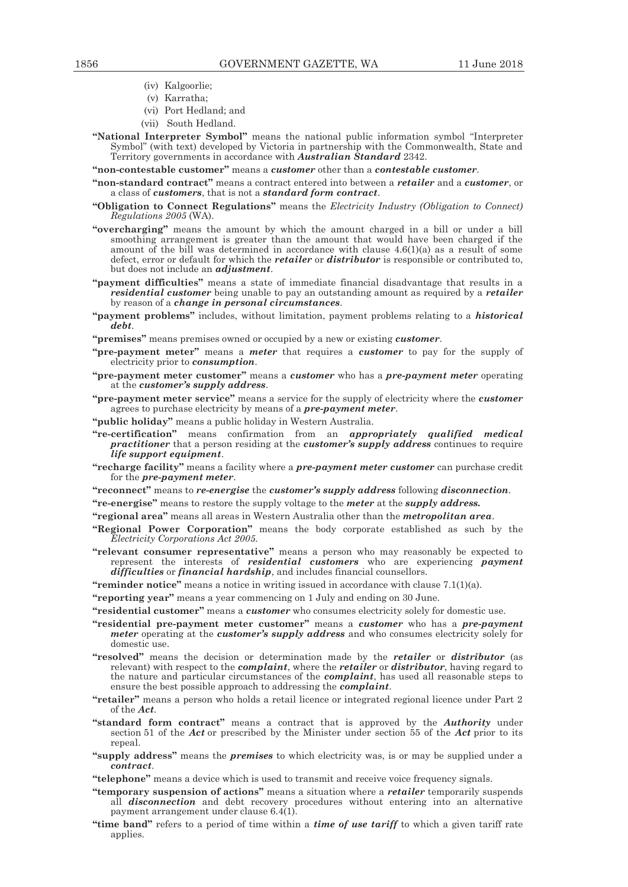- (iv) Kalgoorlie;
- (v) Karratha;
- (vi) Port Hedland; and
- (vii) South Hedland.
- **"National Interpreter Symbol"** means the national public information symbol "Interpreter Symbol" (with text) developed by Victoria in partnership with the Commonwealth, State and Territory governments in accordance with *Australian Standard* 2342.
- **"non-contestable customer"** means a *customer* other than a *contestable customer*.
- **"non-standard contract"** means a contract entered into between a *retailer* and a *customer*, or a class of *customers*, that is not a *standard form contract*.
- **"Obligation to Connect Regulations"** means the *Electricity Industry (Obligation to Connect) Regulations 2005* (WA).
- **"overcharging"** means the amount by which the amount charged in a bill or under a bill smoothing arrangement is greater than the amount that would have been charged if the amount of the bill was determined in accordance with clause 4.6(1)(a) as a result of some defect, error or default for which the *retailer* or *distributor* is responsible or contributed to, but does not include an *adjustment*.
- **"payment difficulties"** means a state of immediate financial disadvantage that results in a *residential customer* being unable to pay an outstanding amount as required by a *retailer* by reason of a *change in personal circumstances*.
- **"payment problems"** includes, without limitation, payment problems relating to a *historical debt*.
- **"premises"** means premises owned or occupied by a new or existing *customer*.
- **"pre-payment meter"** means a *meter* that requires a *customer* to pay for the supply of electricity prior to *consumption*.
- **"pre-payment meter customer"** means a *customer* who has a *pre-payment meter* operating at the *customer's supply address*.
- **"pre-payment meter service"** means a service for the supply of electricity where the *customer* agrees to purchase electricity by means of a *pre-payment meter*.
- **"public holiday"** means a public holiday in Western Australia.
- **"re-certification"** means confirmation from an *appropriately qualified medical practitioner* that a person residing at the *customer's supply address* continues to require *life support equipment*.
- **"recharge facility"** means a facility where a *pre-payment meter customer* can purchase credit for the *pre-payment meter*.
- **"reconnect"** means to *re-energise* the *customer's supply address* following *disconnection*.
- **"re-energise"** means to restore the supply voltage to the *meter* at the *supply address.*
- **"regional area"** means all areas in Western Australia other than the *metropolitan area*.
- **"Regional Power Corporation"** means the body corporate established as such by the *Electricity Corporations Act 2005.*
- **"relevant consumer representative"** means a person who may reasonably be expected to represent the interests of *residential customers* who are experiencing *payment difficulties* or *financial hardship*, and includes financial counsellors.
- **"reminder notice"** means a notice in writing issued in accordance with clause 7.1(1)(a).
- **"reporting year"** means a year commencing on 1 July and ending on 30 June.
- **"residential customer"** means a *customer* who consumes electricity solely for domestic use.
- **"residential pre-payment meter customer"** means a *customer* who has a *pre-payment meter* operating at the *customer's supply address* and who consumes electricity solely for domestic use.
- **"resolved"** means the decision or determination made by the *retailer* or *distributor* (as relevant) with respect to the *complaint*, where the *retailer* or *distributor*, having regard to the nature and particular circumstances of the *complaint*, has used all reasonable steps to ensure the best possible approach to addressing the *complaint*.
- **"retailer"** means a person who holds a retail licence or integrated regional licence under Part 2 of the *Act.*
- **"standard form contract"** means a contract that is approved by the *Authority* under section 51 of the *Act* or prescribed by the Minister under section 55 of the *Act* prior to its repeal.
- **"supply address"** means the *premises* to which electricity was, is or may be supplied under a *contract*.
- **"telephone"** means a device which is used to transmit and receive voice frequency signals.
- **"temporary suspension of actions"** means a situation where a *retailer* temporarily suspends all *disconnection* and debt recovery procedures without entering into an alternative payment arrangement under clause 6.4(1).
- **"time band"** refers to a period of time within a *time of use tariff* to which a given tariff rate applies.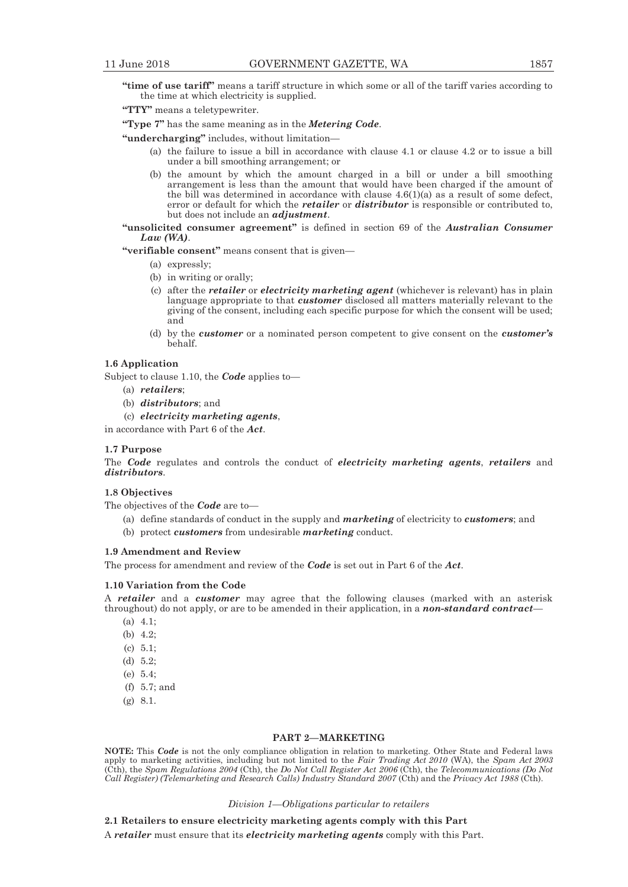**"time of use tariff"** means a tariff structure in which some or all of the tariff varies according to the time at which electricity is supplied.

**"TTY"** means a teletypewriter.

**"Type 7"** has the same meaning as in the *Metering Code*.

**"undercharging"** includes, without limitation—

- (a) the failure to issue a bill in accordance with clause 4.1 or clause 4.2 or to issue a bill under a bill smoothing arrangement; or
- (b) the amount by which the amount charged in a bill or under a bill smoothing arrangement is less than the amount that would have been charged if the amount of the bill was determined in accordance with clause  $4.6(1)(a)$  as a result of some defect, error or default for which the *retailer* or *distributor* is responsible or contributed to, but does not include an *adjustment*.

**"unsolicited consumer agreement"** is defined in section 69 of the *Australian Consumer Law (WA)*.

**"verifiable consent"** means consent that is given—

- (a) expressly;
- (b) in writing or orally;
- (c) after the *retailer* or *electricity marketing agent* (whichever is relevant) has in plain language appropriate to that *customer* disclosed all matters materially relevant to the giving of the consent, including each specific purpose for which the consent will be used; and
- (d) by the *customer* or a nominated person competent to give consent on the *customer's* behalf.

# **1.6 Application**

Subject to clause 1.10, the *Code* applies to—

- (a) *retailers*;
- (b) *distributors*; and
- (c) *electricity marketing agents*,

in accordance with Part 6 of the *Act*.

# **1.7 Purpose**

The *Code* regulates and controls the conduct of *electricity marketing agents*, *retailers* and *distributors*.

# **1.8 Objectives**

The objectives of the *Code* are to—

- (a) define standards of conduct in the supply and *marketing* of electricity to *customers*; and
- (b) protect *customers* from undesirable *marketing* conduct.

# **1.9 Amendment and Review**

The process for amendment and review of the *Code* is set out in Part 6 of the *Act*.

#### **1.10 Variation from the Code**

A *retailer* and a *customer* may agree that the following clauses (marked with an asterisk throughout) do not apply, or are to be amended in their application, in a *non-standard contract*—

- (a) 4.1;
- (b) 4.2;
- (c) 5.1;
- (d) 5.2;
- (e) 5.4;
- (f) 5.7; and
- (g) 8.1.

#### **PART 2—MARKETING**

**NOTE:** This *Code* is not the only compliance obligation in relation to marketing. Other State and Federal laws apply to marketing activities, including but not limited to the *Fair Trading Act 2010* (WA), the *Spam Act 2003*  (Cth), the *Spam Regulations 2004* (Cth), the *Do Not Call Register Act 2006* (Cth), the *Telecommunications (Do Not Call Register) (Telemarketing and Research Calls) Industry Standard 2007* (Cth) and the *Privacy Act 1988* (Cth).

*Division 1—Obligations particular to retailers* 

#### **2.1 Retailers to ensure electricity marketing agents comply with this Part**

A *retailer* must ensure that its *electricity marketing agents* comply with this Part.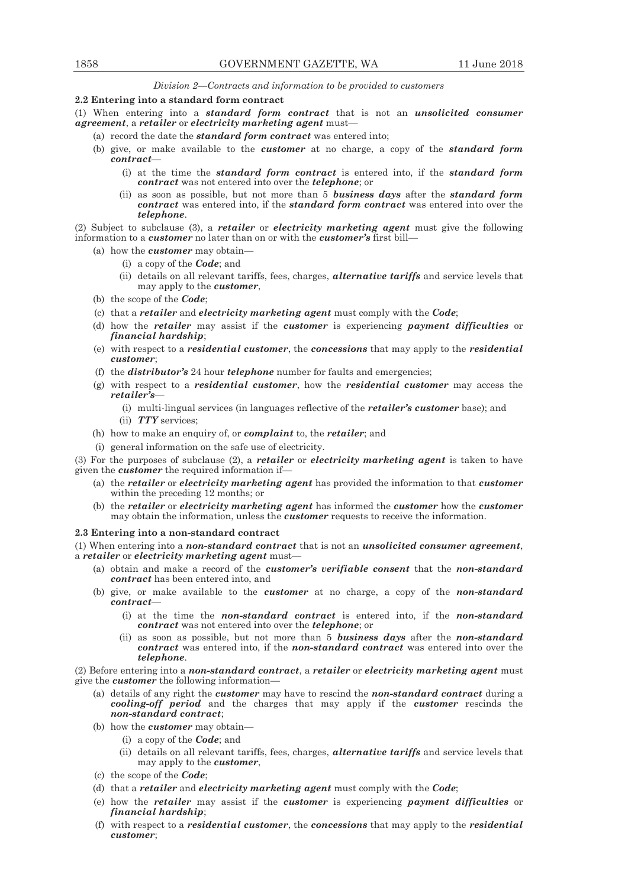*Division 2—Contracts and information to be provided to customers* 

# **2.2 Entering into a standard form contract**

(1) When entering into a *standard form contract* that is not an *unsolicited consumer agreement*, a *retailer* or *electricity marketing agent* must—

- (a) record the date the *standard form contract* was entered into;
- (b) give, or make available to the *customer* at no charge, a copy of the *standard form contract*—
	- (i) at the time the *standard form contract* is entered into, if the *standard form contract* was not entered into over the *telephone*; or
	- (ii) as soon as possible, but not more than 5 *business days* after the *standard form contract* was entered into, if the *standard form contract* was entered into over the *telephone*.

(2) Subject to subclause (3), a *retailer* or *electricity marketing agent* must give the following information to a *customer* no later than on or with the *customer's* first bill—

- (a) how the *customer* may obtain—
	- (i) a copy of the *Code*; and
	- (ii) details on all relevant tariffs, fees, charges, *alternative tariffs* and service levels that may apply to the *customer*,
- (b) the scope of the *Code*;
- (c) that a *retailer* and *electricity marketing agent* must comply with the *Code*;
- (d) how the *retailer* may assist if the *customer* is experiencing *payment difficulties* or *financial hardship*;
- (e) with respect to a *residential customer*, the *concessions* that may apply to the *residential customer*;
- (f) the *distributor's* 24 hour *telephone* number for faults and emergencies;
- (g) with respect to a *residential customer*, how the *residential customer* may access the *retailer's*—
	- (i) multi-lingual services (in languages reflective of the *retailer's customer* base); and (ii) *TTY* services;
- (h) how to make an enquiry of, or *complaint* to, the *retailer*; and
- (i) general information on the safe use of electricity.

(3) For the purposes of subclause (2), a *retailer* or *electricity marketing agent* is taken to have given the *customer* the required information if—

- (a) the *retailer* or *electricity marketing agent* has provided the information to that *customer* within the preceding 12 months; or
- (b) the *retailer* or *electricity marketing agent* has informed the *customer* how the *customer* may obtain the information, unless the *customer* requests to receive the information.

# **2.3 Entering into a non-standard contract**

(1) When entering into a *non-standard contract* that is not an *unsolicited consumer agreement*, a *retailer* or *electricity marketing agent* must—

- (a) obtain and make a record of the *customer's verifiable consent* that the *non-standard contract* has been entered into, and
- (b) give, or make available to the *customer* at no charge, a copy of the *non-standard contract*—
	- (i) at the time the *non-standard contract* is entered into, if the *non-standard contract* was not entered into over the *telephone*; or
	- (ii) as soon as possible, but not more than 5 *business days* after the *non-standard contract* was entered into, if the *non-standard contract* was entered into over the *telephone*.

(2) Before entering into a *non-standard contract*, a *retailer* or *electricity marketing agent* must give the *customer* the following information—

- (a) details of any right the *customer* may have to rescind the *non-standard contract* during a *cooling-off period* and the charges that may apply if the *customer* rescinds the *non-standard contract*;
- (b) how the *customer* may obtain—
	- (i) a copy of the *Code*; and
	- (ii) details on all relevant tariffs, fees, charges, *alternative tariffs* and service levels that may apply to the *customer*,
- (c) the scope of the *Code*;
- (d) that a *retailer* and *electricity marketing agent* must comply with the *Code*;
- (e) how the *retailer* may assist if the *customer* is experiencing *payment difficulties* or *financial hardship*;
- (f) with respect to a *residential customer*, the *concessions* that may apply to the *residential customer*;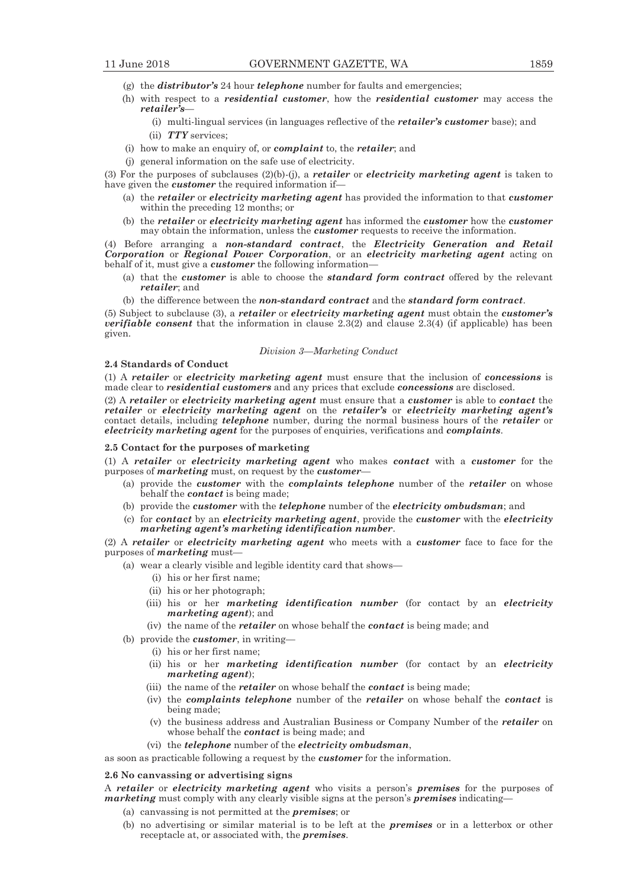- (g) the *distributor's* 24 hour *telephone* number for faults and emergencies;
- (h) with respect to a *residential customer*, how the *residential customer* may access the *retailer's*—
	- (i) multi-lingual services (in languages reflective of the *retailer's customer* base); and (ii) *TTY* services;
- (i) how to make an enquiry of, or *complaint* to, the *retailer*; and
- (j) general information on the safe use of electricity.

(3) For the purposes of subclauses (2)(b)-(j), a *retailer* or *electricity marketing agent* is taken to have given the *customer* the required information if—

- (a) the *retailer* or *electricity marketing agent* has provided the information to that *customer* within the preceding 12 months; or
- (b) the *retailer* or *electricity marketing agent* has informed the *customer* how the *customer* may obtain the information, unless the *customer* requests to receive the information.

(4) Before arranging a *non-standard contract*, the *Electricity Generation and Retail Corporation* or *Regional Power Corporation*, or an *electricity marketing agent* acting on behalf of it, must give a *customer* the following information—

- (a) that the *customer* is able to choose the *standard form contract* offered by the relevant *retailer*; and
- (b) the difference between the *non-standard contract* and the *standard form contract*.

(5) Subject to subclause (3), a *retailer* or *electricity marketing agent* must obtain the *customer's verifiable consent* that the information in clause 2.3(2) and clause 2.3(4) (if applicable) has been given.

#### *Division 3—Marketing Conduct*

# **2.4 Standards of Conduct**

(1) A *retailer* or *electricity marketing agent* must ensure that the inclusion of *concessions* is made clear to *residential customers* and any prices that exclude *concessions* are disclosed.

(2) A *retailer* or *electricity marketing agent* must ensure that a *customer* is able to *contact* the *retailer* or *electricity marketing agent* on the *retailer's* or *electricity marketing agent's* contact details, including *telephone* number, during the normal business hours of the *retailer* or *electricity marketing agent* for the purposes of enquiries, verifications and *complaints*.

## **2.5 Contact for the purposes of marketing**

(1) A *retailer* or *electricity marketing agent* who makes *contact* with a *customer* for the purposes of *marketing* must, on request by the *customer*—

- (a) provide the *customer* with the *complaints telephone* number of the *retailer* on whose behalf the *contact* is being made;
- (b) provide the *customer* with the *telephone* number of the *electricity ombudsman*; and
- (c) for *contact* by an *electricity marketing agent*, provide the *customer* with the *electricity marketing agent's marketing identification number*.

(2) A *retailer* or *electricity marketing agent* who meets with a *customer* face to face for the purposes of *marketing* must—

- (a) wear a clearly visible and legible identity card that shows—
	- (i) his or her first name;
	- (ii) his or her photograph;
	- (iii) his or her *marketing identification number* (for contact by an *electricity marketing agent*); and
	- (iv) the name of the *retailer* on whose behalf the *contact* is being made; and

(b) provide the *customer*, in writing—

- (i) his or her first name;
- (ii) his or her *marketing identification number* (for contact by an *electricity marketing agent*);
- (iii) the name of the *retailer* on whose behalf the *contact* is being made;
- (iv) the *complaints telephone* number of the *retailer* on whose behalf the *contact* is being made;
- (v) the business address and Australian Business or Company Number of the *retailer* on whose behalf the *contact* is being made; and
- (vi) the *telephone* number of the *electricity ombudsman*,

as soon as practicable following a request by the *customer* for the information.

#### **2.6 No canvassing or advertising signs**

A *retailer* or *electricity marketing agent* who visits a person's *premises* for the purposes of *marketing* must comply with any clearly visible signs at the person's *premises* indicating—

- (a) canvassing is not permitted at the *premises*; or
- (b) no advertising or similar material is to be left at the *premises* or in a letterbox or other receptacle at, or associated with, the *premises*.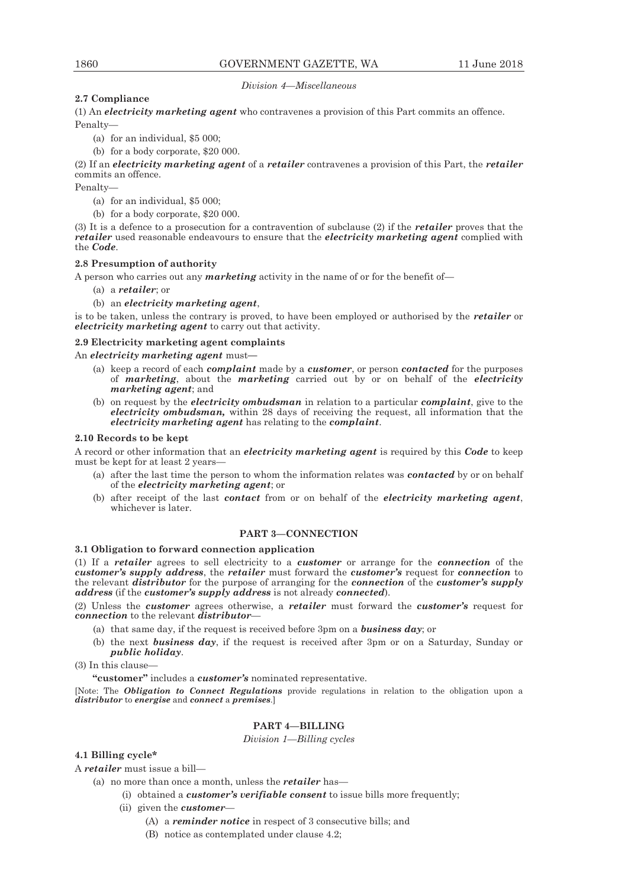# *Division 4—Miscellaneous*

# **2.7 Compliance**

(1) An *electricity marketing agent* who contravenes a provision of this Part commits an offence. Penalty—

- (a) for an individual, \$5 000;
- (b) for a body corporate, \$20 000.

(2) If an *electricity marketing agent* of a *retailer* contravenes a provision of this Part, the *retailer* commits an offence.

Penalty—

- (a) for an individual, \$5 000;
- (b) for a body corporate, \$20 000.

(3) It is a defence to a prosecution for a contravention of subclause (2) if the *retailer* proves that the *retailer* used reasonable endeavours to ensure that the *electricity marketing agent* complied with the *Code*.

# **2.8 Presumption of authority**

A person who carries out any *marketing* activity in the name of or for the benefit of—

- (a) a *retailer*; or
- (b) an *electricity marketing agent*,

is to be taken, unless the contrary is proved, to have been employed or authorised by the *retailer* or *electricity marketing agent* to carry out that activity.

# **2.9 Electricity marketing agent complaints**

An *electricity marketing agent* must**—** 

- (a) keep a record of each *complaint* made by a *customer*, or person *contacted* for the purposes of *marketing*, about the *marketing* carried out by or on behalf of the *electricity marketing agent*; and
- (b) on request by the *electricity ombudsman* in relation to a particular *complaint*, give to the *electricity ombudsman,* within 28 days of receiving the request, all information that the *electricity marketing agent* has relating to the *complaint*.

# **2.10 Records to be kept**

A record or other information that an *electricity marketing agent* is required by this *Code* to keep must be kept for at least 2 years—

- (a) after the last time the person to whom the information relates was *contacted* by or on behalf of the *electricity marketing agent*; or
- (b) after receipt of the last *contact* from or on behalf of the *electricity marketing agent*, whichever is later.

# **PART 3—CONNECTION**

# **3.1 Obligation to forward connection application**

(1) If a *retailer* agrees to sell electricity to a *customer* or arrange for the *connection* of the *customer's supply address*, the *retailer* must forward the *customer's* request for *connection* to the relevant *distributor* for the purpose of arranging for the *connection* of the *customer's supply address* (if the *customer's supply address* is not already *connected*).

(2) Unless the *customer* agrees otherwise, a *retailer* must forward the *customer's* request for *connection* to the relevant *distributor*—

- (a) that same day, if the request is received before 3pm on a *business day*; or
- (b) the next *business day*, if the request is received after 3pm or on a Saturday, Sunday or *public holiday*.

(3) In this clause—

**"customer"** includes a *customer's* nominated representative.

[Note: The *Obligation to Connect Regulations* provide regulations in relation to the obligation upon a *distributor* to *energise* and *connect* a *premises*.]

# **PART 4—BILLING**

# *Division 1—Billing cycles*

# **4.1 Billing cycle\***

A *retailer* must issue a bill—

- (a) no more than once a month, unless the *retailer* has—
	- (i) obtained a *customer's verifiable consent* to issue bills more frequently;
	- (ii) given the *customer*
		- (A) a *reminder notice* in respect of 3 consecutive bills; and
		- (B) notice as contemplated under clause 4.2;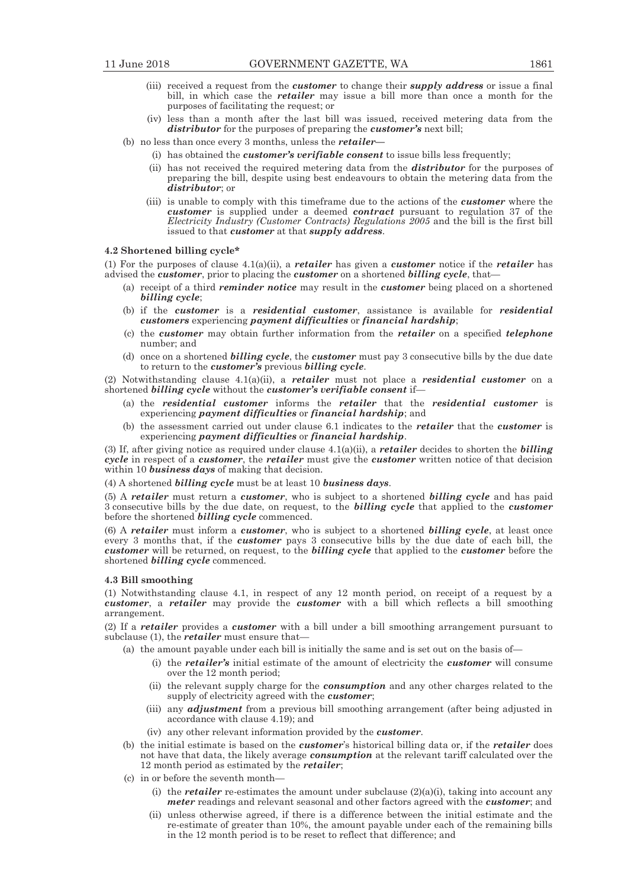- (iii) received a request from the *customer* to change their *supply address* or issue a final bill, in which case the *retailer* may issue a bill more than once a month for the purposes of facilitating the request; or
- (iv) less than a month after the last bill was issued, received metering data from the *distributor* for the purposes of preparing the *customer's* next bill;
- (b) no less than once every 3 months, unless the *retailer—*
	- (i) has obtained the *customer's verifiable consent* to issue bills less frequently;
	- (ii) has not received the required metering data from the *distributor* for the purposes of preparing the bill, despite using best endeavours to obtain the metering data from the *distributor*; or
	- (iii) is unable to comply with this timeframe due to the actions of the *customer* where the *customer* is supplied under a deemed *contract* pursuant to regulation 37 of the *Electricity Industry (Customer Contracts) Regulations 2005* and the bill is the first bill issued to that *customer* at that *supply address*.

# **4.2 Shortened billing cycle\***

(1) For the purposes of clause 4.1(a)(ii), a *retailer* has given a *customer* notice if the *retailer* has advised the *customer*, prior to placing the *customer* on a shortened *billing cycle*, that—

- (a) receipt of a third *reminder notice* may result in the *customer* being placed on a shortened *billing cycle*;
- (b) if the *customer* is a *residential customer*, assistance is available for *residential customers* experiencing *payment difficulties* or *financial hardship*;
- (c) the *customer* may obtain further information from the *retailer* on a specified *telephone* number; and
- (d) once on a shortened *billing cycle*, the *customer* must pay 3 consecutive bills by the due date to return to the *customer's* previous *billing cycle*.

(2) Notwithstanding clause 4.1(a)(ii), a *retailer* must not place a *residential customer* on a shortened *billing cycle* without the *customer's verifiable consent* if—

- (a) the *residential customer* informs the *retailer* that the *residential customer* is experiencing *payment difficulties* or *financial hardship*; and
- (b) the assessment carried out under clause 6.1 indicates to the *retailer* that the *customer* is experiencing *payment difficulties* or *financial hardship*.

(3) If, after giving notice as required under clause 4.1(a)(ii), a *retailer* decides to shorten the *billing cycle* in respect of a *customer*, the *retailer* must give the *customer* written notice of that decision within 10 *business days* of making that decision.

(4) A shortened *billing cycle* must be at least 10 *business days*.

(5) A *retailer* must return a *customer*, who is subject to a shortened *billing cycle* and has paid 3 consecutive bills by the due date, on request, to the *billing cycle* that applied to the *customer* before the shortened *billing cycle* commenced.

(6) A *retailer* must inform a *customer*, who is subject to a shortened *billing cycle*, at least once every 3 months that, if the *customer* pays 3 consecutive bills by the due date of each bill, the *customer* will be returned, on request, to the *billing cycle* that applied to the *customer* before the shortened *billing cycle* commenced.

# **4.3 Bill smoothing**

(1) Notwithstanding clause 4.1, in respect of any 12 month period, on receipt of a request by a *customer*, a *retailer* may provide the *customer* with a bill which reflects a bill smoothing arrangement.

(2) If a *retailer* provides a *customer* with a bill under a bill smoothing arrangement pursuant to subclause (1), the *retailer* must ensure that—

- (a) the amount payable under each bill is initially the same and is set out on the basis of—
	- (i) the *retailer's* initial estimate of the amount of electricity the *customer* will consume over the 12 month period;
	- (ii) the relevant supply charge for the *consumption* and any other charges related to the supply of electricity agreed with the *customer*;
	- (iii) any *adjustment* from a previous bill smoothing arrangement (after being adjusted in accordance with clause 4.19); and
	- (iv) any other relevant information provided by the *customer*.
- (b) the initial estimate is based on the *customer*'s historical billing data or, if the *retailer* does not have that data, the likely average *consumption* at the relevant tariff calculated over the 12 month period as estimated by the *retailer*;
- (c) in or before the seventh month—
	- (i) the *retailer* re-estimates the amount under subclause  $(2)(a)(i)$ , taking into account any *meter* readings and relevant seasonal and other factors agreed with the *customer*; and
	- (ii) unless otherwise agreed, if there is a difference between the initial estimate and the re-estimate of greater than 10%, the amount payable under each of the remaining bills in the 12 month period is to be reset to reflect that difference; and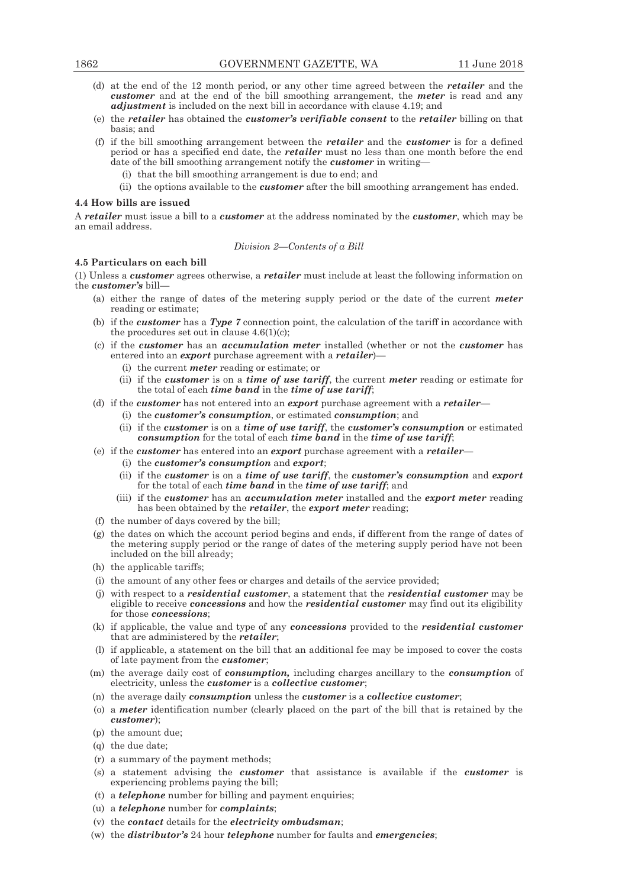- (d) at the end of the 12 month period, or any other time agreed between the *retailer* and the *customer* and at the end of the bill smoothing arrangement, the *meter* is read and any *adjustment* is included on the next bill in accordance with clause 4.19; and
- (e) the *retailer* has obtained the *customer's verifiable consent* to the *retailer* billing on that basis; and
- (f) if the bill smoothing arrangement between the *retailer* and the *customer* is for a defined period or has a specified end date, the *retailer* must no less than one month before the end date of the bill smoothing arrangement notify the *customer* in writing—
	- (i) that the bill smoothing arrangement is due to end; and
	- (ii) the options available to the *customer* after the bill smoothing arrangement has ended.

#### **4.4 How bills are issued**

A *retailer* must issue a bill to a *customer* at the address nominated by the *customer*, which may be an email address.

#### *Division 2—Contents of a Bill*

# **4.5 Particulars on each bill**

(1) Unless a *customer* agrees otherwise, a *retailer* must include at least the following information on the *customer's* bill—

- (a) either the range of dates of the metering supply period or the date of the current *meter* reading or estimate;
- (b) if the *customer* has a *Type 7* connection point, the calculation of the tariff in accordance with the procedures set out in clause  $4.6(1)(c)$ ;
- (c) if the *customer* has an *accumulation meter* installed (whether or not the *customer* has entered into an *export* purchase agreement with a *retailer*)—
	- (i) the current *meter* reading or estimate; or
	- (ii) if the *customer* is on a *time of use tariff*, the current *meter* reading or estimate for the total of each *time band* in the *time of use tariff*;
- (d) if the *customer* has not entered into an *export* purchase agreement with a *retailer*
	- (i) the *customer's consumption*, or estimated *consumption*; and
		- (ii) if the *customer* is on a *time of use tariff*, the *customer's consumption* or estimated *consumption* for the total of each *time band* in the *time of use tariff*;
- (e) if the *customer* has entered into an *export* purchase agreement with a *retailer*
	- (i) the *customer's consumption* and *export*;
	- (ii) if the *customer* is on a *time of use tariff*, the *customer's consumption* and *export* for the total of each *time band* in the *time of use tariff*; and
	- (iii) if the *customer* has an *accumulation meter* installed and the *export meter* reading has been obtained by the *retailer*, the *export meter* reading;
- (f) the number of days covered by the bill;
- (g) the dates on which the account period begins and ends, if different from the range of dates of the metering supply period or the range of dates of the metering supply period have not been included on the bill already;
- (h) the applicable tariffs;
- (i) the amount of any other fees or charges and details of the service provided;
- (j) with respect to a *residential customer*, a statement that the *residential customer* may be eligible to receive *concessions* and how the *residential customer* may find out its eligibility for those *concessions*;
- (k) if applicable, the value and type of any *concessions* provided to the *residential customer* that are administered by the *retailer*;
- (l) if applicable, a statement on the bill that an additional fee may be imposed to cover the costs of late payment from the *customer*;
- (m) the average daily cost of *consumption,* including charges ancillary to the *consumption* of electricity, unless the *customer* is a *collective customer*;
- (n) the average daily *consumption* unless the *customer* is a *collective customer*;
- (o) a *meter* identification number (clearly placed on the part of the bill that is retained by the *customer*);
- (p) the amount due;
- (q) the due date;
- (r) a summary of the payment methods;
- (s) a statement advising the *customer* that assistance is available if the *customer* is experiencing problems paying the bill;
- (t) a *telephone* number for billing and payment enquiries;
- (u) a *telephone* number for *complaints*;
- (v) the *contact* details for the *electricity ombudsman*;
- (w) the *distributor's* 24 hour *telephone* number for faults and *emergencies*;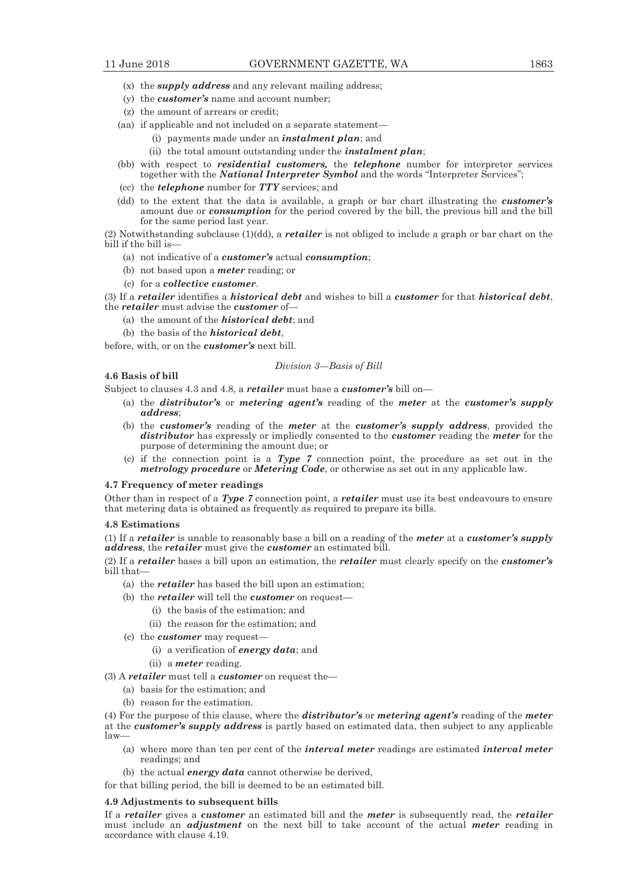- (x) the *supply address* and any relevant mailing address;
- (y) the *customer's* name and account number;
- (z) the amount of arrears or credit;
- (aa) if applicable and not included on a separate statement—
	- (i) payments made under an *instalment plan*; and
		- (ii) the total amount outstanding under the *instalment plan*;
- (bb) with respect to *residential customers,* the *telephone* number for interpreter services together with the *National Interpreter Symbol* and the words "Interpreter Services";
- (cc) the *telephone* number for *TTY* services; and
- (dd) to the extent that the data is available, a graph or bar chart illustrating the *customer's* amount due or *consumption* for the period covered by the bill, the previous bill and the bill for the same period last year.

(2) Notwithstanding subclause (1)(dd), a *retailer* is not obliged to include a graph or bar chart on the bill if the bill is-

- (a) not indicative of a *customer's* actual *consumption*;
- (b) not based upon a *meter* reading; or
- (c) for a *collective customer*.

(3) If a *retailer* identifies a *historical debt* and wishes to bill a *customer* for that *historical debt*, the *retailer* must advise the *customer* of—

- (a) the amount of the *historical debt*; and
- (b) the basis of the *historical debt*,

before, with, or on the *customer's* next bill.

## *Division 3—Basis of Bill*

**4.6 Basis of bill** 

Subject to clauses 4.3 and 4.8, a *retailer* must base a *customer's* bill on—

- (a) the *distributor's* or *metering agent's* reading of the *meter* at the *customer's supply address*;
- (b) the *customer's* reading of the *meter* at the *customer's supply address*, provided the *distributor* has expressly or impliedly consented to the *customer* reading the *meter* for the purpose of determining the amount due; or
- (c) if the connection point is a *Type 7* connection point, the procedure as set out in the *metrology procedure* or *Metering Code*, or otherwise as set out in any applicable law.

# **4.7 Frequency of meter readings**

Other than in respect of a *Type 7* connection point, a *retailer* must use its best endeavours to ensure that metering data is obtained as frequently as required to prepare its bills.

#### **4.8 Estimations**

(1) If a *retailer* is unable to reasonably base a bill on a reading of the *meter* at a *customer's supply address*, the *retailer* must give the *customer* an estimated bill.

(2) If a *retailer* bases a bill upon an estimation, the *retailer* must clearly specify on the *customer's* bill that—

- (a) the *retailer* has based the bill upon an estimation;
- (b) the *retailer* will tell the *customer* on request-
	- (i) the basis of the estimation; and
	- (ii) the reason for the estimation; and
- (c) the *customer* may request—
	- (i) a verification of *energy data*; and
	- (ii) a *meter* reading.

(3) A *retailer* must tell a *customer* on request the—

- (a) basis for the estimation; and
- (b) reason for the estimation.

(4) For the purpose of this clause, where the *distributor's* or *metering agent's* reading of the *meter*  at the *customer's supply address* is partly based on estimated data, then subject to any applicable law—

- (a) where more than ten per cent of the *interval meter* readings are estimated *interval meter* readings; and
- (b) the actual *energy data* cannot otherwise be derived,

for that billing period, the bill is deemed to be an estimated bill.

## **4.9 Adjustments to subsequent bills**

If a *retailer* gives a *customer* an estimated bill and the *meter* is subsequently read, the *retailer* must include an *adjustment* on the next bill to take account of the actual *meter* reading in accordance with clause 4.19.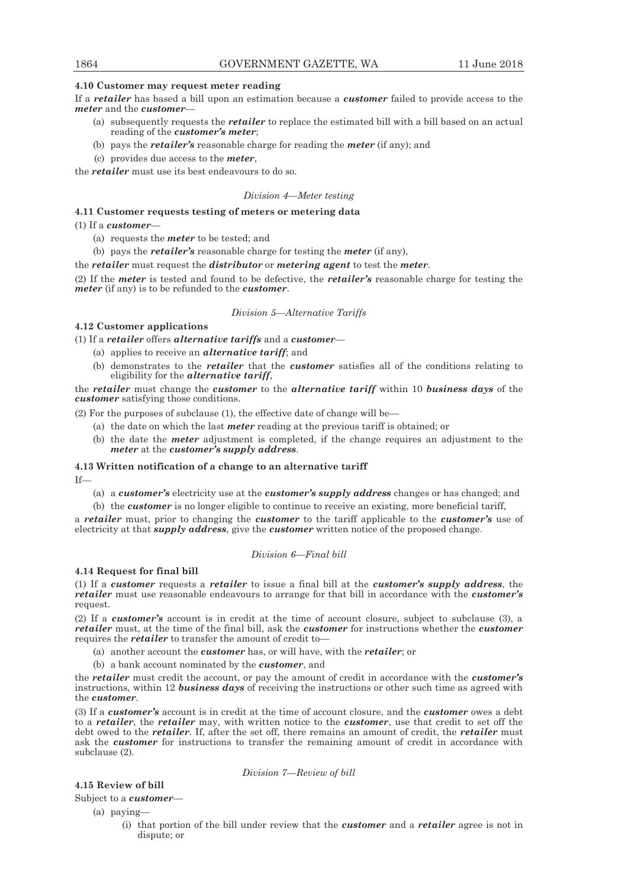# **4.10 Customer may request meter reading**

If a *retailer* has based a bill upon an estimation because a *customer* failed to provide access to the *meter* and the *customer*—

- (a) subsequently requests the *retailer* to replace the estimated bill with a bill based on an actual reading of the *customer's meter*;
- (b) pays the *retailer's* reasonable charge for reading the *meter* (if any); and
- (c) provides due access to the *meter*,

the *retailer* must use its best endeavours to do so.

# *Division 4—Meter testing*

# **4.11 Customer requests testing of meters or metering data**

(1) If a *customer*-

- (a) requests the *meter* to be tested; and
- (b) pays the *retailer's* reasonable charge for testing the *meter* (if any),

the *retailer* must request the *distributor* or *metering agent* to test the *meter*.

(2) If the *meter* is tested and found to be defective, the *retailer's* reasonable charge for testing the *meter* (if any) is to be refunded to the *customer*.

*Division 5—Alternative Tariffs* 

# **4.12 Customer applications**

(1) If a *retailer* offers *alternative tariffs* and a *customer*—

- (a) applies to receive an *alternative tariff*; and
- (b) demonstrates to the *retailer* that the *customer* satisfies all of the conditions relating to eligibility for the *alternative tariff*,

the *retailer* must change the *customer* to the *alternative tariff* within 10 *business days* of the *customer* satisfying those conditions.

(2) For the purposes of subclause (1), the effective date of change will be—

- (a) the date on which the last *meter* reading at the previous tariff is obtained; or
- (b) the date the *meter* adjustment is completed, if the change requires an adjustment to the *meter* at the *customer's supply address*.

# **4.13 Written notification of a change to an alternative tariff**

If—

- (a) a *customer's* electricity use at the *customer's supply address* changes or has changed; and
- (b) the *customer* is no longer eligible to continue to receive an existing, more beneficial tariff,

a *retailer* must, prior to changing the *customer* to the tariff applicable to the *customer's* use of electricity at that *supply address*, give the *customer* written notice of the proposed change.

# *Division 6—Final bill*

# **4.14 Request for final bill**

(1) If a *customer* requests a *retailer* to issue a final bill at the *customer's supply address*, the *retailer* must use reasonable endeavours to arrange for that bill in accordance with the *customer's* request.

(2) If a *customer's* account is in credit at the time of account closure, subject to subclause (3), a *retailer* must, at the time of the final bill, ask the *customer* for instructions whether the *customer* requires the *retailer* to transfer the amount of credit to—

- (a) another account the *customer* has, or will have, with the *retailer*; or
- (b) a bank account nominated by the *customer*, and

the *retailer* must credit the account, or pay the amount of credit in accordance with the *customer's* instructions, within 12 *business days* of receiving the instructions or other such time as agreed with the *customer*.

(3) If a *customer's* account is in credit at the time of account closure, and the *customer* owes a debt to a *retailer*, the *retailer* may, with written notice to the *customer*, use that credit to set off the debt owed to the *retailer*. If, after the set off, there remains an amount of credit, the *retailer* must ask the *customer* for instructions to transfer the remaining amount of credit in accordance with subclause (2).

*Division 7—Review of bill* 

# **4.15 Review of bill**

Subject to a *customer*—

- (a) paying—
	- (i) that portion of the bill under review that the *customer* and a *retailer* agree is not in dispute; or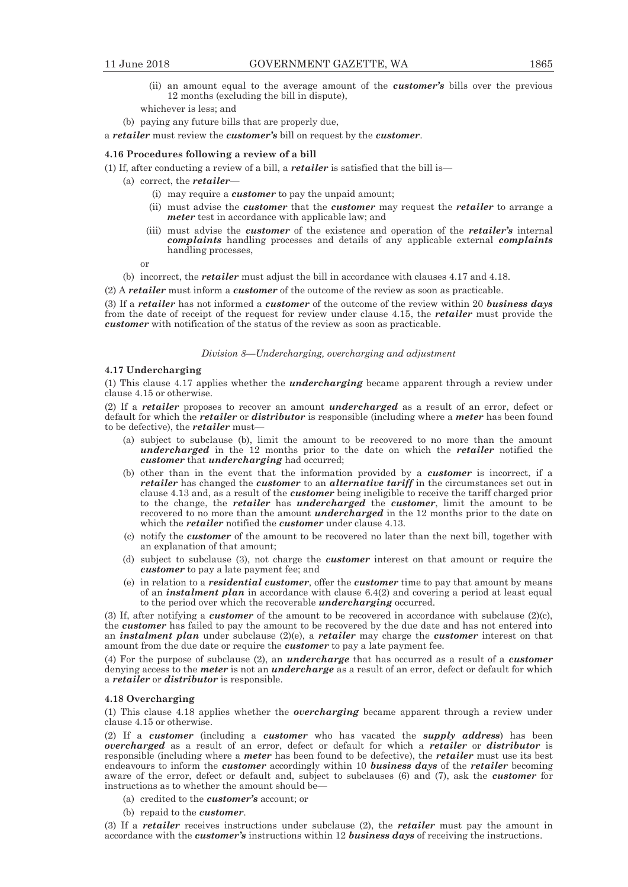- (ii) an amount equal to the average amount of the *customer's* bills over the previous 12 months (excluding the bill in dispute),
- whichever is less; and
- (b) paying any future bills that are properly due,

a *retailer* must review the *customer's* bill on request by the *customer*.

# **4.16 Procedures following a review of a bill**

(1) If, after conducting a review of a bill, a *retailer* is satisfied that the bill is—

- (a) correct, the *retailer*
	- (i) may require a *customer* to pay the unpaid amount;
	- (ii) must advise the *customer* that the *customer* may request the *retailer* to arrange a *meter* test in accordance with applicable law; and
	- (iii) must advise the *customer* of the existence and operation of the *retailer's* internal *complaints* handling processes and details of any applicable external *complaints* handling processes,

or

(b) incorrect, the *retailer* must adjust the bill in accordance with clauses 4.17 and 4.18.

(2) A *retailer* must inform a *customer* of the outcome of the review as soon as practicable.

(3) If a *retailer* has not informed a *customer* of the outcome of the review within 20 *business days* from the date of receipt of the request for review under clause 4.15, the *retailer* must provide the *customer* with notification of the status of the review as soon as practicable.

#### *Division 8—Undercharging, overcharging and adjustment*

#### **4.17 Undercharging**

(1) This clause 4.17 applies whether the *undercharging* became apparent through a review under clause 4.15 or otherwise.

(2) If a *retailer* proposes to recover an amount *undercharged* as a result of an error, defect or default for which the *retailer* or *distributor* is responsible (including where a *meter* has been found to be defective), the *retailer* must—

- (a) subject to subclause (b), limit the amount to be recovered to no more than the amount *undercharged* in the 12 months prior to the date on which the *retailer* notified the *customer* that *undercharging* had occurred;
- (b) other than in the event that the information provided by a *customer* is incorrect, if a *retailer* has changed the *customer* to an *alternative tariff* in the circumstances set out in clause 4.13 and, as a result of the *customer* being ineligible to receive the tariff charged prior to the change, the *retailer* has *undercharged* the *customer*, limit the amount to be recovered to no more than the amount *undercharged* in the 12 months prior to the date on which the *retailer* notified the *customer* under clause 4.13.
- (c) notify the *customer* of the amount to be recovered no later than the next bill, together with an explanation of that amount;
- (d) subject to subclause (3), not charge the *customer* interest on that amount or require the *customer* to pay a late payment fee; and
- (e) in relation to a *residential customer*, offer the *customer* time to pay that amount by means of an *instalment plan* in accordance with clause 6.4(2) and covering a period at least equal to the period over which the recoverable *undercharging* occurred.

(3) If, after notifying a *customer* of the amount to be recovered in accordance with subclause (2)(c), the *customer* has failed to pay the amount to be recovered by the due date and has not entered into an *instalment plan* under subclause (2)(e), a *retailer* may charge the *customer* interest on that amount from the due date or require the *customer* to pay a late payment fee.

(4) For the purpose of subclause (2), an *undercharge* that has occurred as a result of a *customer*  denying access to the *meter* is not an *undercharge* as a result of an error, defect or default for which a *retailer* or *distributor* is responsible.

#### **4.18 Overcharging**

(1) This clause 4.18 applies whether the *overcharging* became apparent through a review under clause 4.15 or otherwise.

(2) If a *customer* (including a *customer* who has vacated the *supply address*) has been *overcharged* as a result of an error, defect or default for which a *retailer* or *distributor* is responsible (including where a *meter* has been found to be defective), the *retailer* must use its best endeavours to inform the *customer* accordingly within 10 *business days* of the *retailer* becoming aware of the error, defect or default and, subject to subclauses (6) and (7), ask the *customer* for instructions as to whether the amount should be—

- (a) credited to the *customer's* account; or
- (b) repaid to the *customer*.

(3) If a *retailer* receives instructions under subclause (2), the *retailer* must pay the amount in accordance with the *customer's* instructions within 12 *business days* of receiving the instructions.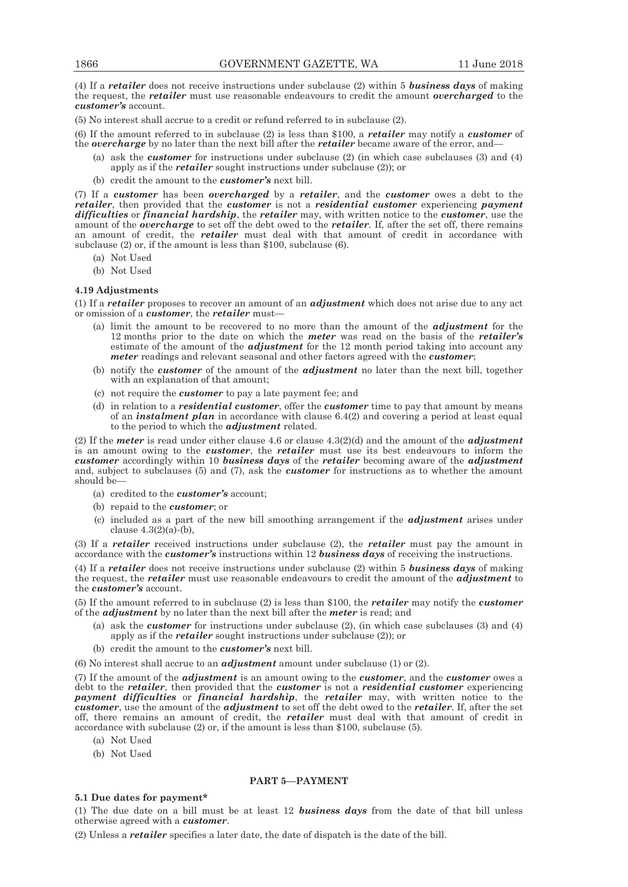(4) If a *retailer* does not receive instructions under subclause (2) within 5 *business days* of making the request, the *retailer* must use reasonable endeavours to credit the amount *overcharged* to the *customer's* account.

(5) No interest shall accrue to a credit or refund referred to in subclause (2).

(6) If the amount referred to in subclause (2) is less than \$100, a *retailer* may notify a *customer* of the *overcharge* by no later than the next bill after the *retailer* became aware of the error, and—

- (a) ask the *customer* for instructions under subclause (2) (in which case subclauses (3) and (4) apply as if the *retailer* sought instructions under subclause (2)); or
- (b) credit the amount to the *customer's* next bill.

(7) If a *customer* has been *overcharged* by a *retailer*, and the *customer* owes a debt to the *retailer*, then provided that the *customer* is not a *residential customer* experiencing *payment difficulties* or *financial hardship*, the *retailer* may, with written notice to the *customer*, use the amount of the *overcharge* to set off the debt owed to the *retailer*. If, after the set off, there remains an amount of credit, the *retailer* must deal with that amount of credit in accordance with subclause (2) or, if the amount is less than \$100, subclause (6).

- (a) Not Used
- (b) Not Used

#### **4.19 Adjustments**

(1) If a *retailer* proposes to recover an amount of an *adjustment* which does not arise due to any act or omission of a *customer*, the *retailer* must—

- (a) limit the amount to be recovered to no more than the amount of the *adjustment* for the 12 months prior to the date on which the *meter* was read on the basis of the *retailer's*  estimate of the amount of the *adjustment* for the 12 month period taking into account any *meter* readings and relevant seasonal and other factors agreed with the *customer*;
- (b) notify the *customer* of the amount of the *adjustment* no later than the next bill, together with an explanation of that amount;
- (c) not require the *customer* to pay a late payment fee; and
- (d) in relation to a *residential customer*, offer the *customer* time to pay that amount by means of an *instalment plan* in accordance with clause 6.4(2) and covering a period at least equal to the period to which the *adjustment* related.

(2) If the *meter* is read under either clause 4.6 or clause 4.3(2)(d) and the amount of the *adjustment*  is an amount owing to the *customer*, the *retailer* must use its best endeavours to inform the *customer* accordingly within 10 *business days* of the *retailer* becoming aware of the *adjustment*  and, subject to subclauses (5) and (7), ask the *customer* for instructions as to whether the amount should be—

- (a) credited to the *customer's* account;
- (b) repaid to the *customer*; or
- (c) included as a part of the new bill smoothing arrangement if the *adjustment* arises under clause  $4.3(2)(a)$ -(b),

(3) If a *retailer* received instructions under subclause (2), the *retailer* must pay the amount in accordance with the *customer's* instructions within 12 *business days* of receiving the instructions.

(4) If a *retailer* does not receive instructions under subclause (2) within 5 *business days* of making the request, the *retailer* must use reasonable endeavours to credit the amount of the *adjustment* to the *customer's* account.

(5) If the amount referred to in subclause (2) is less than \$100, the *retailer* may notify the *customer*  of the *adjustment* by no later than the next bill after the *meter* is read; and

- (a) ask the *customer* for instructions under subclause (2), (in which case subclauses (3) and (4) apply as if the *retailer* sought instructions under subclause (2)); or
- (b) credit the amount to the *customer's* next bill.

(6) No interest shall accrue to an *adjustment* amount under subclause (1) or (2).

(7) If the amount of the *adjustment* is an amount owing to the *customer*, and the *customer* owes a debt to the *retailer*, then provided that the *customer* is not a *residential customer* experiencing *payment difficulties* or *financial hardship*, the *retailer* may, with written notice to the *customer*, use the amount of the *adjustment* to set off the debt owed to the *retailer*. If, after the set off, there remains an amount of credit, the *retailer* must deal with that amount of credit in accordance with subclause (2) or, if the amount is less than \$100, subclause (5).

- (a) Not Used
- (b) Not Used

# **PART 5—PAYMENT**

#### **5.1 Due dates for payment\***

(1) The due date on a bill must be at least 12 *business days* from the date of that bill unless otherwise agreed with a *customer*.

(2) Unless a *retailer* specifies a later date, the date of dispatch is the date of the bill.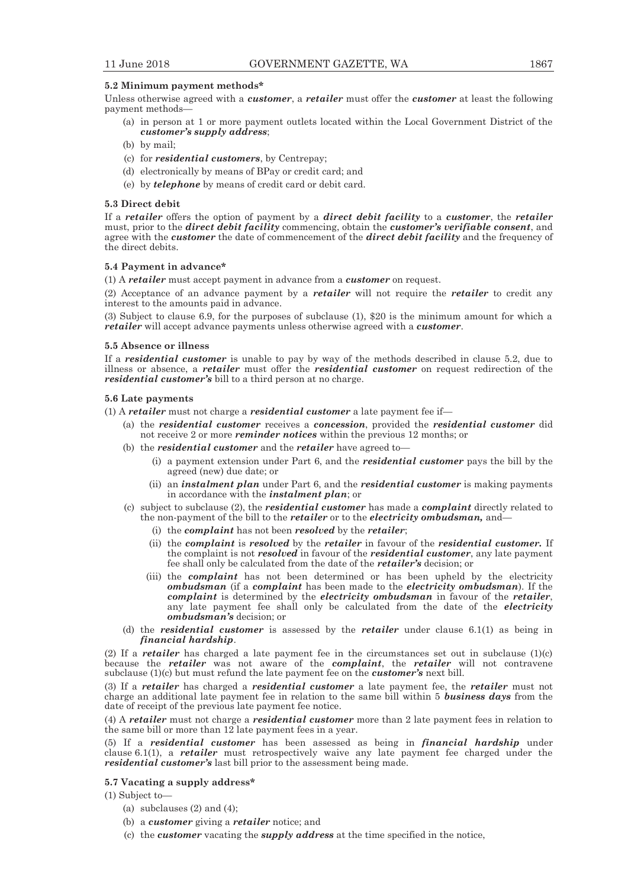## **5.2 Minimum payment methods\***

Unless otherwise agreed with a *customer*, a *retailer* must offer the *customer* at least the following payment methods—

- (a) in person at 1 or more payment outlets located within the Local Government District of the *customer's supply address*;
- (b) by mail;
- (c) for *residential customers*, by Centrepay;
- (d) electronically by means of BPay or credit card; and
- (e) by *telephone* by means of credit card or debit card.

# **5.3 Direct debit**

If a *retailer* offers the option of payment by a *direct debit facility* to a *customer*, the *retailer* must, prior to the *direct debit facility* commencing, obtain the *customer's verifiable consent*, and agree with the *customer* the date of commencement of the *direct debit facility* and the frequency of the direct debits.

#### **5.4 Payment in advance\***

(1) A *retailer* must accept payment in advance from a *customer* on request.

(2) Acceptance of an advance payment by a *retailer* will not require the *retailer* to credit any interest to the amounts paid in advance.

(3) Subject to clause 6.9, for the purposes of subclause (1), \$20 is the minimum amount for which a *retailer* will accept advance payments unless otherwise agreed with a *customer*.

# **5.5 Absence or illness**

If a *residential customer* is unable to pay by way of the methods described in clause 5.2, due to illness or absence, a *retailer* must offer the *residential customer* on request redirection of the *residential customer's* bill to a third person at no charge.

#### **5.6 Late payments**

(1) A *retailer* must not charge a *residential customer* a late payment fee if—

- (a) the *residential customer* receives a *concession*, provided the *residential customer* did not receive 2 or more *reminder notices* within the previous 12 months; or
- (b) the *residential customer* and the *retailer* have agreed to—
	- (i) a payment extension under Part 6, and the *residential customer* pays the bill by the agreed (new) due date; or
	- (ii) an *instalment plan* under Part 6, and the *residential customer* is making payments in accordance with the *instalment plan*; or
- (c) subject to subclause (2), the *residential customer* has made a *complaint* directly related to the non-payment of the bill to the *retailer* or to the *electricity ombudsman,* and—
	- (i) the *complaint* has not been *resolved* by the *retailer*;
	- (ii) the *complaint* is *resolved* by the *retailer* in favour of the *residential customer.* If the complaint is not *resolved* in favour of the *residential customer*, any late payment fee shall only be calculated from the date of the *retailer's* decision; or
	- (iii) the *complaint* has not been determined or has been upheld by the electricity *ombudsman* (if a *complaint* has been made to the *electricity ombudsman*). If the *complaint* is determined by the *electricity ombudsman* in favour of the *retailer*, any late payment fee shall only be calculated from the date of the *electricity ombudsman's* decision; or
- (d) the *residential customer* is assessed by the *retailer* under clause 6.1(1) as being in *financial hardship*.

(2) If a *retailer* has charged a late payment fee in the circumstances set out in subclause (1)(c) because the *retailer* was not aware of the *complaint*, the *retailer* will not contravene subclause (1)(c) but must refund the late payment fee on the *customer's* next bill.

(3) If a *retailer* has charged a *residential customer* a late payment fee, the *retailer* must not charge an additional late payment fee in relation to the same bill within 5 *business days* from the date of receipt of the previous late payment fee notice.

(4) A *retailer* must not charge a *residential customer* more than 2 late payment fees in relation to the same bill or more than 12 late payment fees in a year.

(5) If a *residential customer* has been assessed as being in *financial hardship* under clause 6.1(1), a *retailer* must retrospectively waive any late payment fee charged under the *residential customer's* last bill prior to the assessment being made.

# **5.7 Vacating a supply address\***

(1) Subject to—

- (a) subclauses  $(2)$  and  $(4)$ ;
- (b) a *customer* giving a *retailer* notice; and
- (c) the *customer* vacating the *supply address* at the time specified in the notice,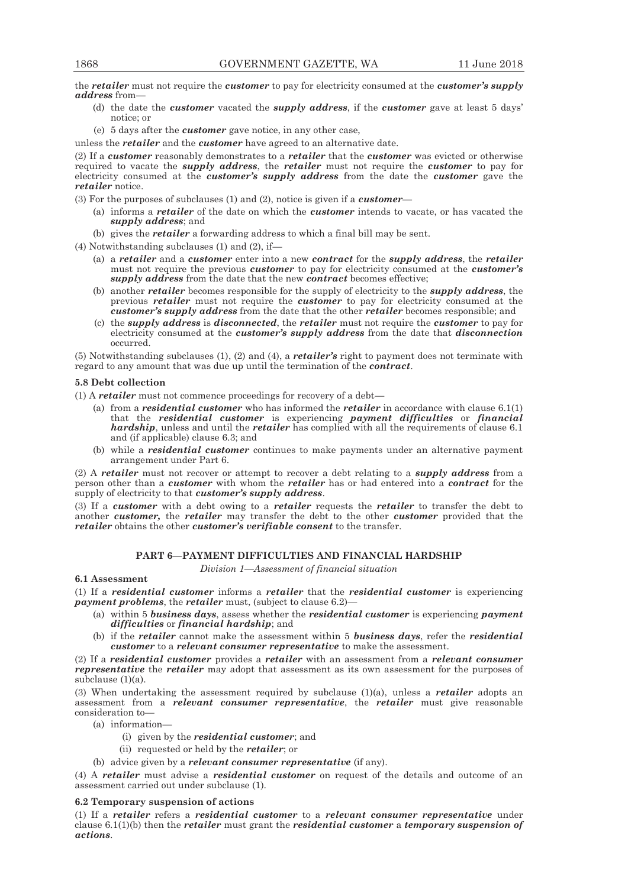the *retailer* must not require the *customer* to pay for electricity consumed at the *customer's supply address* from—

- (d) the date the *customer* vacated the *supply address*, if the *customer* gave at least 5 days' notice; or
- (e) 5 days after the *customer* gave notice, in any other case,
- unless the *retailer* and the *customer* have agreed to an alternative date.

(2) If a *customer* reasonably demonstrates to a *retailer* that the *customer* was evicted or otherwise required to vacate the *supply address*, the *retailer* must not require the *customer* to pay for electricity consumed at the *customer's supply address* from the date the *customer* gave the *retailer* notice.

(3) For the purposes of subclauses (1) and (2), notice is given if a *customer*—

- (a) informs a *retailer* of the date on which the *customer* intends to vacate, or has vacated the *supply address*; and
- (b) gives the *retailer* a forwarding address to which a final bill may be sent.

(4) Notwithstanding subclauses (1) and (2), if—

- (a) a *retailer* and a *customer* enter into a new *contract* for the *supply address*, the *retailer* must not require the previous *customer* to pay for electricity consumed at the *customer's supply address* from the date that the new *contract* becomes effective;
- (b) another *retailer* becomes responsible for the supply of electricity to the *supply address*, the previous *retailer* must not require the *customer* to pay for electricity consumed at the *customer's supply address* from the date that the other *retailer* becomes responsible; and
- (c) the *supply address* is *disconnected*, the *retailer* must not require the *customer* to pay for electricity consumed at the *customer's supply address* from the date that *disconnection* occurred.

(5) Notwithstanding subclauses (1), (2) and (4), a *retailer's* right to payment does not terminate with regard to any amount that was due up until the termination of the *contract*.

# **5.8 Debt collection**

(1) A *retailer* must not commence proceedings for recovery of a debt—

- (a) from a *residential customer* who has informed the *retailer* in accordance with clause 6.1(1) that the *residential customer* is experiencing *payment difficulties* or *financial hardship*, unless and until the *retailer* has complied with all the requirements of clause 6.1 and (if applicable) clause 6.3; and
- (b) while a *residential customer* continues to make payments under an alternative payment arrangement under Part 6.

(2) A *retailer* must not recover or attempt to recover a debt relating to a *supply address* from a person other than a *customer* with whom the *retailer* has or had entered into a *contract* for the supply of electricity to that *customer's supply address*.

(3) If a *customer* with a debt owing to a *retailer* requests the *retailer* to transfer the debt to another *customer,* the *retailer* may transfer the debt to the other *customer* provided that the *retailer* obtains the other *customer's verifiable consent* to the transfer.

# **PART 6—PAYMENT DIFFICULTIES AND FINANCIAL HARDSHIP**

*Division 1—Assessment of financial situation* 

# **6.1 Assessment**

(1) If a *residential customer* informs a *retailer* that the *residential customer* is experiencing *payment problems*, the *retailer* must, (subject to clause 6.2)—

- (a) within 5 *business days*, assess whether the *residential customer* is experiencing *payment difficulties* or *financial hardship*; and
- (b) if the *retailer* cannot make the assessment within 5 *business days*, refer the *residential customer* to a *relevant consumer representative* to make the assessment.

(2) If a *residential customer* provides a *retailer* with an assessment from a *relevant consumer representative* the *retailer* may adopt that assessment as its own assessment for the purposes of subclause (1)(a).

(3) When undertaking the assessment required by subclause (1)(a), unless a *retailer* adopts an assessment from a *relevant consumer representative*, the *retailer* must give reasonable consideration to—

- (a) information—
	- (i) given by the *residential customer*; and
	- (ii) requested or held by the *retailer*; or
- (b) advice given by a *relevant consumer representative* (if any).

(4) A *retailer* must advise a *residential customer* on request of the details and outcome of an assessment carried out under subclause (1).

# **6.2 Temporary suspension of actions**

(1) If a *retailer* refers a *residential customer* to a *relevant consumer representative* under clause 6.1(1)(b) then the *retailer* must grant the *residential customer* a *temporary suspension of actions*.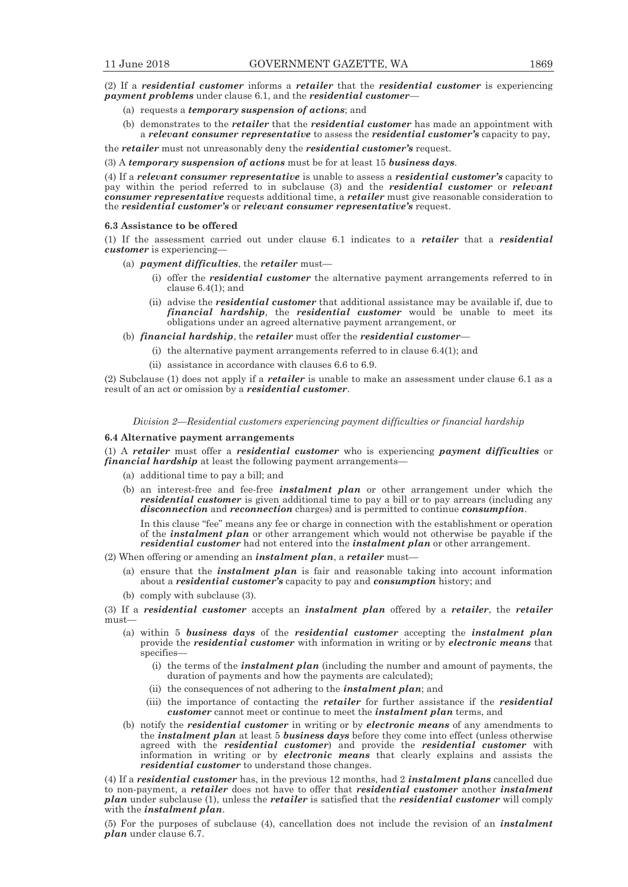(2) If a *residential customer* informs a *retailer* that the *residential customer* is experiencing *payment problems* under clause 6.1, and the *residential customer*—

- (a) requests a *temporary suspension of actions*; and
- (b) demonstrates to the *retailer* that the *residential customer* has made an appointment with a *relevant consumer representative* to assess the *residential customer's* capacity to pay,

the *retailer* must not unreasonably deny the *residential customer's* request.

(3) A *temporary suspension of actions* must be for at least 15 *business days*.

(4) If a *relevant consumer representative* is unable to assess a *residential customer's* capacity to pay within the period referred to in subclause (3) and the *residential customer* or *relevant consumer representative* requests additional time, a *retailer* must give reasonable consideration to the *residential customer's* or *relevant consumer representative's* request.

#### **6.3 Assistance to be offered**

(1) If the assessment carried out under clause 6.1 indicates to a *retailer* that a *residential customer* is experiencing—

(a) *payment difficulties*, the *retailer* must—

- (i) offer the *residential customer* the alternative payment arrangements referred to in clause 6.4(1); and
- (ii) advise the *residential customer* that additional assistance may be available if, due to *financial hardship*, the *residential customer* would be unable to meet its obligations under an agreed alternative payment arrangement, or
- (b) *financial hardship*, the *retailer* must offer the *residential customer*
	- (i) the alternative payment arrangements referred to in clause  $6.4(1)$ ; and
	- (ii) assistance in accordance with clauses 6.6 to 6.9.

(2) Subclause (1) does not apply if a *retailer* is unable to make an assessment under clause 6.1 as a result of an act or omission by a *residential customer*.

*Division 2—Residential customers experiencing payment difficulties or financial hardship* 

# **6.4 Alternative payment arrangements**

(1) A *retailer* must offer a *residential customer* who is experiencing *payment difficulties* or *financial hardship* at least the following payment arrangements—

- (a) additional time to pay a bill; and
- (b) an interest-free and fee-free *instalment plan* or other arrangement under which the *residential customer* is given additional time to pay a bill or to pay arrears (including any *disconnection* and *reconnection* charges) and is permitted to continue *consumption*.

In this clause "fee" means any fee or charge in connection with the establishment or operation of the *instalment plan* or other arrangement which would not otherwise be payable if the *residential customer* had not entered into the *instalment plan* or other arrangement.

- (2) When offering or amending an *instalment plan*, a *retailer* must—
	- (a) ensure that the *instalment plan* is fair and reasonable taking into account information about a *residential customer's* capacity to pay and *consumption* history; and
	- (b) comply with subclause (3).

(3) If a *residential customer* accepts an *instalment plan* offered by a *retailer*, the *retailer* must—

- (a) within 5 *business days* of the *residential customer* accepting the *instalment plan* provide the *residential customer* with information in writing or by *electronic means* that specifies—
	- (i) the terms of the *instalment plan* (including the number and amount of payments, the duration of payments and how the payments are calculated);
	- (ii) the consequences of not adhering to the *instalment plan*; and
	- (iii) the importance of contacting the *retailer* for further assistance if the *residential customer* cannot meet or continue to meet the *instalment plan* terms, and
- (b) notify the *residential customer* in writing or by *electronic means* of any amendments to the *instalment plan* at least 5 *business days* before they come into effect (unless otherwise agreed with the *residential customer*) and provide the *residential customer* with information in writing or by *electronic means* that clearly explains and assists the *residential customer* to understand those changes.

(4) If a *residential customer* has, in the previous 12 months, had 2 *instalment plans* cancelled due to non-payment, a *retailer* does not have to offer that *residential customer* another *instalment plan* under subclause (1), unless the *retailer* is satisfied that the *residential customer* will comply with the *instalment plan*.

(5) For the purposes of subclause (4), cancellation does not include the revision of an *instalment plan* under clause 6.7.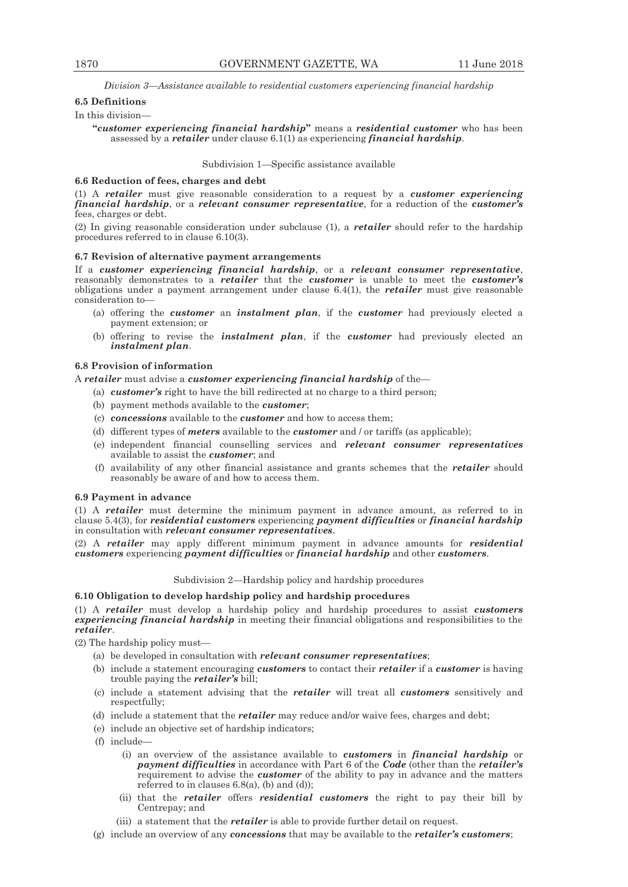*Division 3—Assistance available to residential customers experiencing financial hardship* 

# **6.5 Definitions**

#### In this division—

**"***customer experiencing financial hardship***"** means a *residential customer* who has been assessed by a *retailer* under clause 6.1(1) as experiencing *financial hardship*.

#### Subdivision 1—Specific assistance available

#### **6.6 Reduction of fees, charges and debt**

(1) A *retailer* must give reasonable consideration to a request by a *customer experiencing financial hardship*, or a *relevant consumer representative*, for a reduction of the *customer's* fees, charges or debt.

(2) In giving reasonable consideration under subclause (1), a *retailer* should refer to the hardship procedures referred to in clause 6.10(3).

# **6.7 Revision of alternative payment arrangements**

If a *customer experiencing financial hardship*, or a *relevant consumer representative*, reasonably demonstrates to a *retailer* that the *customer* is unable to meet the *customer's* obligations under a payment arrangement under clause 6.4(1), the *retailer* must give reasonable consideration to—

- (a) offering the *customer* an *instalment plan*, if the *customer* had previously elected a payment extension; or
- (b) offering to revise the *instalment plan*, if the *customer* had previously elected an *instalment plan*.

#### **6.8 Provision of information**

A *retailer* must advise a *customer experiencing financial hardship* of the—

- (a) *customer's* right to have the bill redirected at no charge to a third person;
- (b) payment methods available to the *customer*;
- (c) *concessions* available to the *customer* and how to access them;
- (d) different types of *meters* available to the *customer* and / or tariffs (as applicable);
- (e) independent financial counselling services and *relevant consumer representatives*  available to assist the *customer*; and
- (f) availability of any other financial assistance and grants schemes that the *retailer* should reasonably be aware of and how to access them.

# **6.9 Payment in advance**

(1) A *retailer* must determine the minimum payment in advance amount, as referred to in clause 5.4(3), for *residential customers* experiencing *payment difficulties* or *financial hardship*  in consultation with *relevant consumer representatives*.

(2) A *retailer* may apply different minimum payment in advance amounts for *residential customers* experiencing *payment difficulties* or *financial hardship* and other *customers*.

# Subdivision 2—Hardship policy and hardship procedures

# **6.10 Obligation to develop hardship policy and hardship procedures**

(1) A *retailer* must develop a hardship policy and hardship procedures to assist *customers experiencing financial hardship* in meeting their financial obligations and responsibilities to the *retailer*.

(2) The hardship policy must—

- (a) be developed in consultation with *relevant consumer representatives*;
- (b) include a statement encouraging *customers* to contact their *retailer* if a *customer* is having trouble paying the *retailer's* bill;
- (c) include a statement advising that the *retailer* will treat all *customers* sensitively and respectfully:
- (d) include a statement that the *retailer* may reduce and/or waive fees, charges and debt;
- (e) include an objective set of hardship indicators;
- (f) include—
	- (i) an overview of the assistance available to *customers* in *financial hardship* or *payment difficulties* in accordance with Part 6 of the *Code* (other than the *retailer's* requirement to advise the *customer* of the ability to pay in advance and the matters referred to in clauses  $6.8(a)$ , (b) and (d));
	- (ii) that the *retailer* offers *residential customers* the right to pay their bill by Centrepay; and
	- (iii) a statement that the *retailer* is able to provide further detail on request.
- (g) include an overview of any *concessions* that may be available to the *retailer's customers*;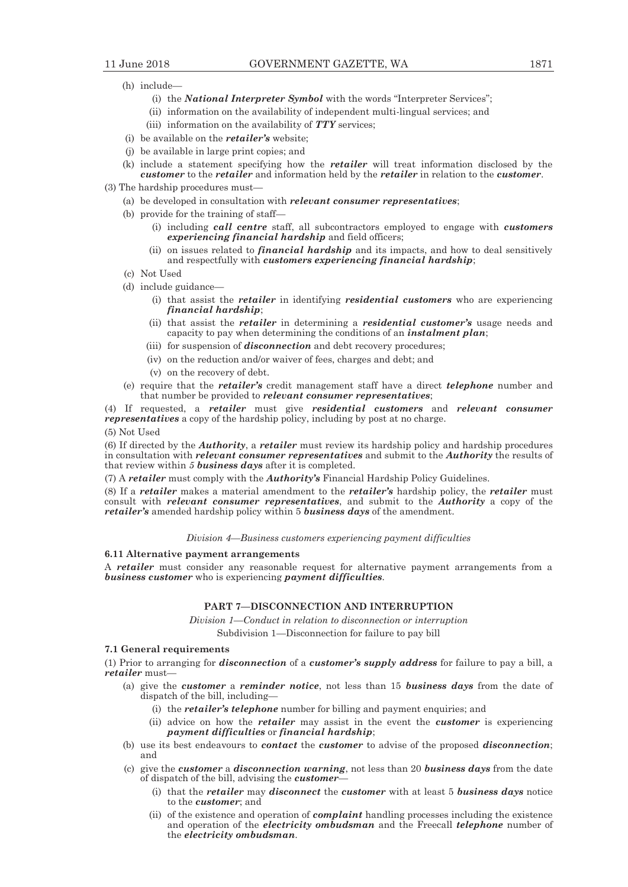- (h) include—
	- (i) the *National Interpreter Symbol* with the words "Interpreter Services";
	- (ii) information on the availability of independent multi-lingual services; and
	- (iii) information on the availability of *TTY* services;
- (i) be available on the *retailer's* website;
- (j) be available in large print copies; and
- (k) include a statement specifying how the *retailer* will treat information disclosed by the *customer* to the *retailer* and information held by the *retailer* in relation to the *customer*.
- (3) The hardship procedures must—
	- (a) be developed in consultation with *relevant consumer representatives*;
	- (b) provide for the training of staff—
		- (i) including *call centre* staff, all subcontractors employed to engage with *customers experiencing financial hardship* and field officers;
		- (ii) on issues related to *financial hardship* and its impacts, and how to deal sensitively and respectfully with *customers experiencing financial hardship*;
	- (c) Not Used
	- (d) include guidance—
		- (i) that assist the *retailer* in identifying *residential customers* who are experiencing *financial hardship*;
		- (ii) that assist the *retailer* in determining a *residential customer's* usage needs and capacity to pay when determining the conditions of an *instalment plan*;
		- (iii) for suspension of *disconnection* and debt recovery procedures;
		- (iv) on the reduction and/or waiver of fees, charges and debt; and
		- (v) on the recovery of debt.
	- (e) require that the *retailer's* credit management staff have a direct *telephone* number and that number be provided to *relevant consumer representatives*;

(4) If requested, a *retailer* must give *residential customers* and *relevant consumer representatives* a copy of the hardship policy, including by post at no charge.

# (5) Not Used

(6) If directed by the *Authority*, a *retailer* must review its hardship policy and hardship procedures in consultation with *relevant consumer representatives* and submit to the *Authority* the results of that review within *5 business days* after it is completed.

(7) A *retailer* must comply with the *Authority's* Financial Hardship Policy Guidelines.

(8) If a *retailer* makes a material amendment to the *retailer's* hardship policy, the *retailer* must consult with *relevant consumer representatives*, and submit to the *Authority* a copy of the *retailer's* amended hardship policy within 5 *business days* of the amendment.

*Division 4—Business customers experiencing payment difficulties* 

#### **6.11 Alternative payment arrangements**

A *retailer* must consider any reasonable request for alternative payment arrangements from a *business customer* who is experiencing *payment difficulties.*

# **PART 7—DISCONNECTION AND INTERRUPTION**

*Division 1—Conduct in relation to disconnection or interruption* 

Subdivision 1—Disconnection for failure to pay bill

# **7.1 General requirements**

(1) Prior to arranging for *disconnection* of a *customer's supply address* for failure to pay a bill, a *retailer* must—

- (a) give the *customer* a *reminder notice*, not less than 15 *business days* from the date of dispatch of the bill, including—
	- (i) the *retailer's telephone* number for billing and payment enquiries; and
	- (ii) advice on how the *retailer* may assist in the event the *customer* is experiencing *payment difficulties* or *financial hardship*;
- (b) use its best endeavours to *contact* the *customer* to advise of the proposed *disconnection*; and
- (c) give the *customer* a *disconnection warning*, not less than 20 *business days* from the date of dispatch of the bill, advising the *customer*—
	- (i) that the *retailer* may *disconnect* the *customer* with at least 5 *business days* notice to the *customer*; and
	- (ii) of the existence and operation of *complaint* handling processes including the existence and operation of the *electricity ombudsman* and the Freecall *telephone* number of the *electricity ombudsman*.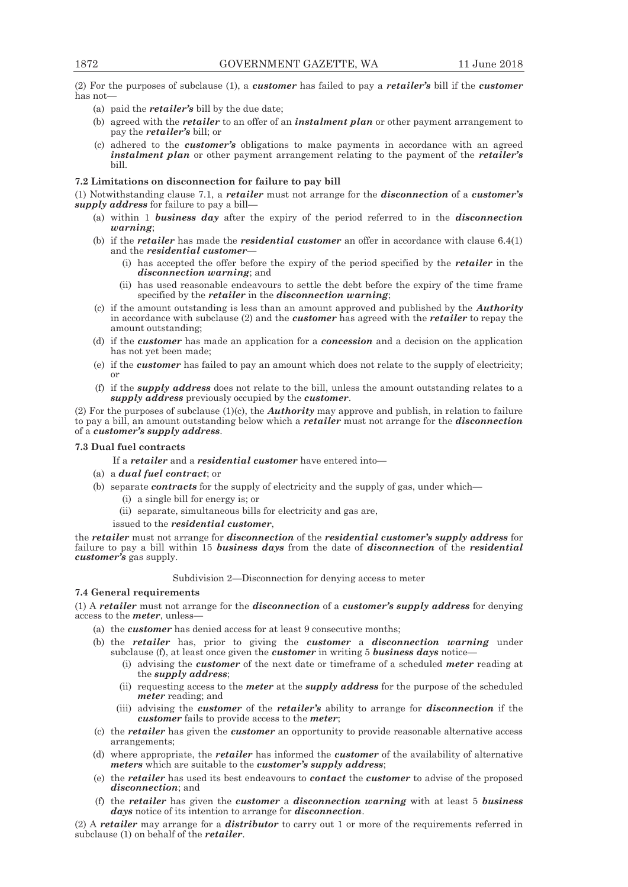(2) For the purposes of subclause (1), a *customer* has failed to pay a *retailer's* bill if the *customer* has not—

- (a) paid the *retailer's* bill by the due date;
- (b) agreed with the *retailer* to an offer of an *instalment plan* or other payment arrangement to pay the *retailer's* bill; or
- (c) adhered to the *customer's* obligations to make payments in accordance with an agreed *instalment plan* or other payment arrangement relating to the payment of the *retailer's*  bill.

# **7.2 Limitations on disconnection for failure to pay bill**

(1) Notwithstanding clause 7.1, a *retailer* must not arrange for the *disconnection* of a *customer's supply address* for failure to pay a bill—

- (a) within 1 *business day* after the expiry of the period referred to in the *disconnection warning*;
- (b) if the *retailer* has made the *residential customer* an offer in accordance with clause 6.4(1) and the *residential customer*—
	- (i) has accepted the offer before the expiry of the period specified by the *retailer* in the *disconnection warning*; and
	- (ii) has used reasonable endeavours to settle the debt before the expiry of the time frame specified by the *retailer* in the *disconnection warning*;
- (c) if the amount outstanding is less than an amount approved and published by the *Authority* in accordance with subclause (2) and the *customer* has agreed with the *retailer* to repay the amount outstanding;
- (d) if the *customer* has made an application for a *concession* and a decision on the application has not yet been made;
- (e) if the *customer* has failed to pay an amount which does not relate to the supply of electricity; or
- (f) if the *supply address* does not relate to the bill, unless the amount outstanding relates to a *supply address* previously occupied by the *customer*.

(2) For the purposes of subclause (1)(c), the *Authority* may approve and publish, in relation to failure to pay a bill, an amount outstanding below which a *retailer* must not arrange for the *disconnection* of a *customer's supply address*.

# **7.3 Dual fuel contracts**

If a *retailer* and a *residential customer* have entered into—

- (a) a *dual fuel contract*; or
- (b) separate *contracts* for the supply of electricity and the supply of gas, under which—
	- (i) a single bill for energy is; or
	- (ii) separate, simultaneous bills for electricity and gas are,

issued to the *residential customer*,

the *retailer* must not arrange for *disconnection* of the *residential customer's supply address* for failure to pay a bill within 15 *business days* from the date of *disconnection* of the *residential customer's* gas supply.

#### Subdivision 2—Disconnection for denying access to meter

# **7.4 General requirements**

(1) A *retailer* must not arrange for the *disconnection* of a *customer's supply address* for denying access to the *meter*, unless—

- (a) the *customer* has denied access for at least 9 consecutive months;
- (b) the *retailer* has, prior to giving the *customer* a *disconnection warning* under subclause (f), at least once given the *customer* in writing 5 *business days* notice—
	- (i) advising the *customer* of the next date or timeframe of a scheduled *meter* reading at the *supply address*;
	- (ii) requesting access to the *meter* at the *supply address* for the purpose of the scheduled *meter* reading; and
	- (iii) advising the *customer* of the *retailer's* ability to arrange for *disconnection* if the *customer* fails to provide access to the *meter*;
- (c) the *retailer* has given the *customer* an opportunity to provide reasonable alternative access arrangements;
- (d) where appropriate, the *retailer* has informed the *customer* of the availability of alternative *meters* which are suitable to the *customer's supply address*;
- (e) the *retailer* has used its best endeavours to *contact* the *customer* to advise of the proposed *disconnection*; and
- (f) the *retailer* has given the *customer* a *disconnection warning* with at least 5 *business days* notice of its intention to arrange for *disconnection*.

(2) A *retailer* may arrange for a *distributor* to carry out 1 or more of the requirements referred in subclause (1) on behalf of the *retailer*.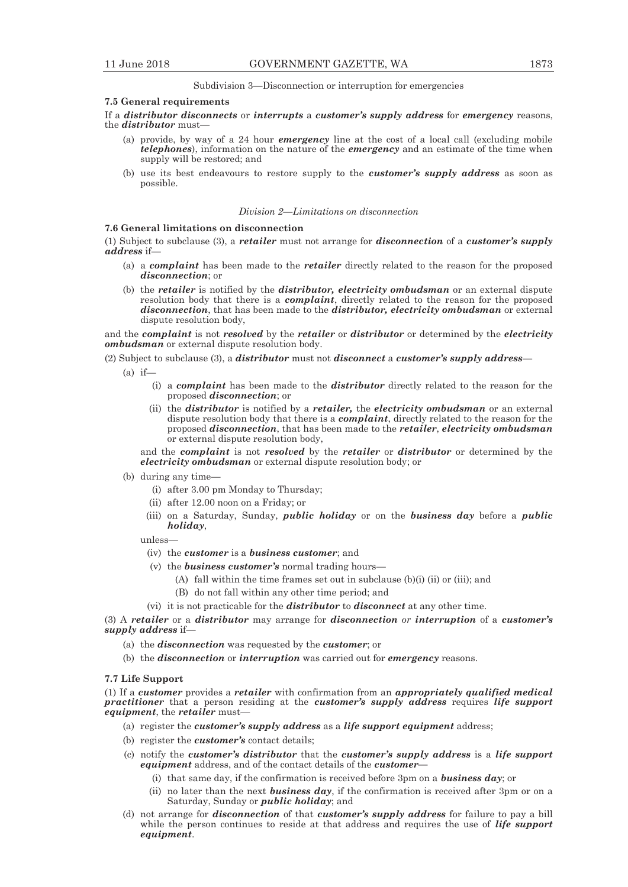Subdivision 3—Disconnection or interruption for emergencies

#### **7.5 General requirements**

If a *distributor disconnects* or *interrupts* a *customer's supply address* for *emergency* reasons, the *distributor* must—

- (a) provide, by way of a 24 hour *emergency* line at the cost of a local call (excluding mobile *telephones*), information on the nature of the *emergency* and an estimate of the time when supply will be restored; and
- (b) use its best endeavours to restore supply to the *customer's supply address* as soon as possible.

## *Division 2—Limitations on disconnection*

# **7.6 General limitations on disconnection**

(1) Subject to subclause (3), a *retailer* must not arrange for *disconnection* of a *customer's supply address* if—

- (a) a *complaint* has been made to the *retailer* directly related to the reason for the proposed *disconnection*; or
- (b) the *retailer* is notified by the *distributor, electricity ombudsman* or an external dispute resolution body that there is a *complaint*, directly related to the reason for the proposed *disconnection*, that has been made to the *distributor, electricity ombudsman* or external dispute resolution body,

and the *complaint* is not *resolved* by the *retailer* or *distributor* or determined by the *electricity ombudsman* or external dispute resolution body.

(2) Subject to subclause (3), a *distributor* must not *disconnect* a *customer's supply address*—

 $(a)$  if-

- (i) a *complaint* has been made to the *distributor* directly related to the reason for the proposed *disconnection*; or
- (ii) the *distributor* is notified by a *retailer,* the *electricity ombudsman* or an external dispute resolution body that there is a *complaint*, directly related to the reason for the proposed *disconnection*, that has been made to the *retailer*, *electricity ombudsman* or external dispute resolution body,

and the *complaint* is not *resolved* by the *retailer* or *distributor* or determined by the *electricity ombudsman* or external dispute resolution body; or

- (b) during any time—
	- (i) after 3.00 pm Monday to Thursday;
	- (ii) after 12.00 noon on a Friday; or
	- (iii) on a Saturday, Sunday, *public holiday* or on the *business day* before a *public holiday*,

unless—

- (iv) the *customer* is a *business customer*; and
- (v) the *business customer's* normal trading hours—
	- (A) fall within the time frames set out in subclause (b)(i) (ii) or (iii); and
	- (B) do not fall within any other time period; and
- (vi) it is not practicable for the *distributor* to *disconnect* at any other time.

(3) A *retailer* or a *distributor* may arrange for *disconnection or interruption* of a *customer's supply address* if—

- (a) the *disconnection* was requested by the *customer*; or
- (b) the *disconnection* or *interruption* was carried out for *emergency* reasons.

#### **7.7 Life Support**

(1) If a *customer* provides a *retailer* with confirmation from an *appropriately qualified medical practitioner* that a person residing at the *customer's supply address* requires *life support equipment*, the *retailer* must—

- (a) register the *customer's supply address* as a *life support equipment* address;
- (b) register the *customer's* contact details;
- (c) notify the *customer's distributor* that the *customer's supply address* is a *life support equipment* address, and of the contact details of the *customer—*
	- (i) that same day, if the confirmation is received before 3pm on a *business day*; or
	- (ii) no later than the next *business day*, if the confirmation is received after 3pm or on a Saturday, Sunday or *public holiday*; and
- (d) not arrange for *disconnection* of that *customer's supply address* for failure to pay a bill while the person continues to reside at that address and requires the use of *life support equipment*.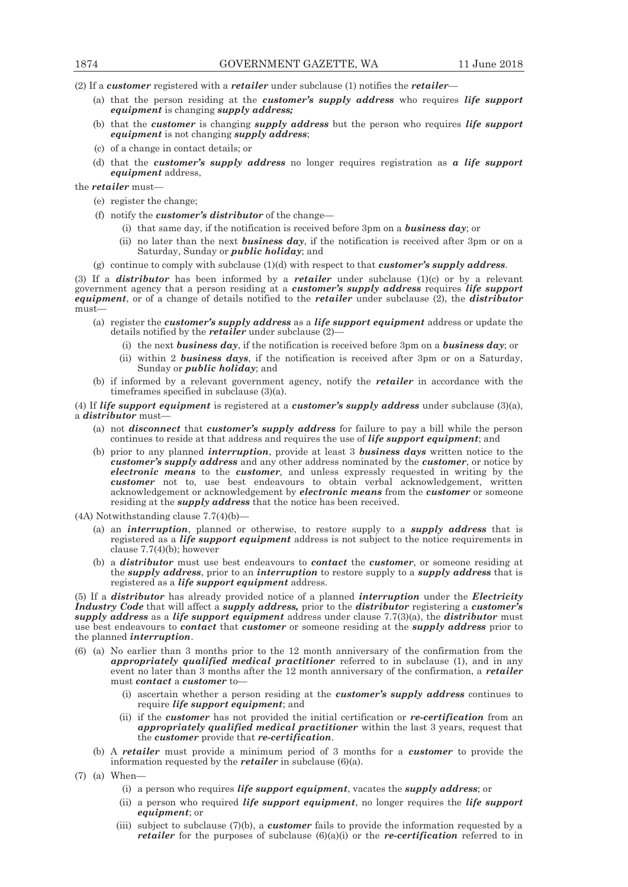(2) If a *customer* registered with a *retailer* under subclause (1) notifies the *retailer*—

- (a) that the person residing at the *customer's supply address* who requires *life support equipment* is changing *supply address;*
- (b) that the *customer* is changing *supply address* but the person who requires *life support equipment* is not changing *supply address*;
- (c) of a change in contact details; or
- (d) that the *customer's supply address* no longer requires registration as *a life support equipment* address,

the *retailer* must—

- (e) register the change;
- (f) notify the *customer's distributor* of the change—
	- (i) that same day, if the notification is received before 3pm on a *business day*; or
	- (ii) no later than the next *business day*, if the notification is received after 3pm or on a Saturday, Sunday or *public holiday*; and
- (g) continue to comply with subclause (1)(d) with respect to that *customer's supply address*.

(3) If a *distributor* has been informed by a *retailer* under subclause (1)(c) or by a relevant government agency that a person residing at a *customer's supply address* requires *life support equipment*, or of a change of details notified to the *retailer* under subclause (2), the *distributor*  must—

- (a) register the *customer's supply address* as a *life support equipment* address or update the details notified by the *retailer* under subclause (2)—
	- (i) the next *business day*, if the notification is received before 3pm on a *business day*; or
	- (ii) within 2 *business days*, if the notification is received after 3pm or on a Saturday, Sunday or *public holiday*; and
- (b) if informed by a relevant government agency, notify the *retailer* in accordance with the timeframes specified in subclause (3)(a).

(4) If *life support equipment* is registered at a *customer's supply address* under subclause (3)(a), a *distributor* must—

- (a) not *disconnect* that *customer's supply address* for failure to pay a bill while the person continues to reside at that address and requires the use of *life support equipment*; and
- (b) prior to any planned *interruption*, provide at least 3 *business days* written notice to the *customer's supply address* and any other address nominated by the *customer*, or notice by *electronic means* to the *customer,* and unless expressly requested in writing by the *customer* not to, use best endeavours to obtain verbal acknowledgement, written acknowledgement or acknowledgement by *electronic means* from the *customer* or someone residing at the *supply address* that the notice has been received.

 $(4A)$  Notwithstanding clause  $7.7(4)(b)$ 

- (a) an *interruption*, planned or otherwise, to restore supply to a *supply address* that is registered as a *life support equipment* address is not subject to the notice requirements in clause  $7.7(4)(b)$ ; however
- (b) a *distributor* must use best endeavours to *contact* the *customer*, or someone residing at the *supply address*, prior to an *interruption* to restore supply to a *supply address* that is registered as a *life support equipment* address.

(5) If a *distributor* has already provided notice of a planned *interruption* under the *Electricity Industry Code* that will affect a *supply address,* prior to the *distributor* registering a *customer's supply address* as a *life support equipment* address under clause 7.7(3)(a), the *distributor* must use best endeavours to *contact* that *customer* or someone residing at the *supply address* prior to the planned *interruption*.

- (6) (a) No earlier than 3 months prior to the 12 month anniversary of the confirmation from the *appropriately qualified medical practitioner* referred to in subclause (1), and in any event no later than 3 months after the 12 month anniversary of the confirmation, a *retailer*  must *contact* a *customer* to—
	- (i) ascertain whether a person residing at the *customer's supply address* continues to require *life support equipment*; and
	- (ii) if the *customer* has not provided the initial certification or *re-certification* from an *appropriately qualified medical practitioner* within the last 3 years, request that the *customer* provide that *re-certification*.
	- (b) A *retailer* must provide a minimum period of 3 months for a *customer* to provide the information requested by the *retailer* in subclause (6)(a).
- (7) (a) When—
	- (i) a person who requires *life support equipment*, vacates the *supply address*; or
	- (ii) a person who required *life support equipment*, no longer requires the *life support equipment*; or
	- (iii) subject to subclause (7)(b), a *customer* fails to provide the information requested by a *retailer* for the purposes of subclause (6)(a)(i) or the *re-certification* referred to in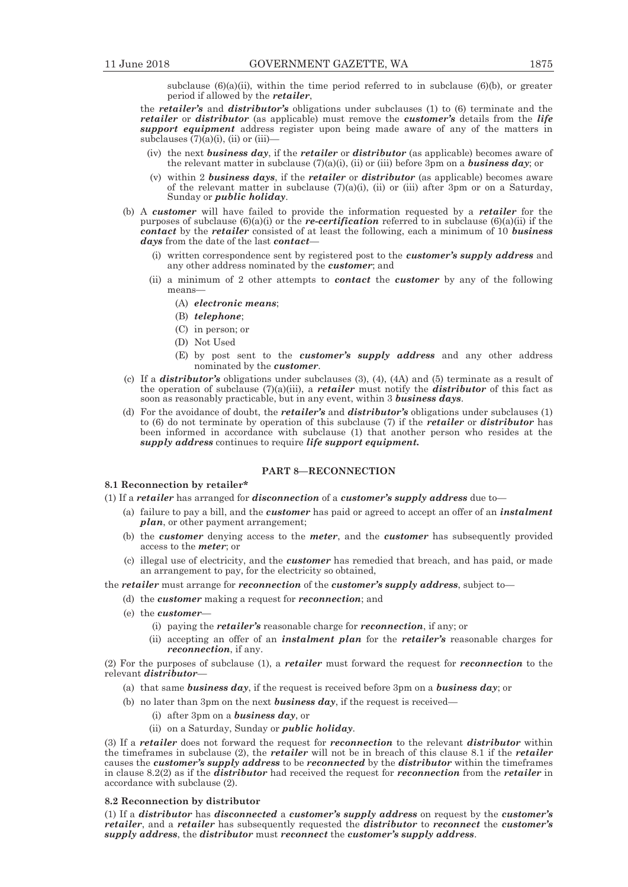subclause  $(6)(a)(ii)$ , within the time period referred to in subclause  $(6)(b)$ , or greater period if allowed by the *retailer*,

the *retailer's* and *distributor's* obligations under subclauses (1) to (6) terminate and the *retailer* or *distributor* (as applicable) must remove the *customer's* details from the *life support equipment* address register upon being made aware of any of the matters in subclauses  $(7)(a)(i)$ , (ii) or (iii)-

- (iv) the next *business day*, if the *retailer* or *distributor* (as applicable) becomes aware of the relevant matter in subclause (7)(a)(i), (ii) or (iii) before 3pm on a *business day*; or
- (v) within 2 *business days*, if the *retailer* or *distributor* (as applicable) becomes aware of the relevant matter in subclause (7)(a)(i), (ii) or (iii) after 3pm or on a Saturday, Sunday or *public holiday*.
- (b) A *customer* will have failed to provide the information requested by a *retailer* for the purposes of subclause (6)(a)(i) or the *re-certification* referred to in subclause (6)(a)(ii) if the *contact* by the *retailer* consisted of at least the following, each a minimum of 10 *business days* from the date of the last *contact*—
	- (i) written correspondence sent by registered post to the *customer's supply address* and any other address nominated by the *customer*; and
	- (ii) a minimum of 2 other attempts to *contact* the *customer* by any of the following means—
		- (A) *electronic means*;
		- (B) *telephone*;
		- (C) in person; or
		- (D) Not Used
		- (E) by post sent to the *customer's supply address* and any other address nominated by the *customer*.
- (c) If a *distributor's* obligations under subclauses (3), (4), (4A) and (5) terminate as a result of the operation of subclause (7)(a)(iii), a *retailer* must notify the *distributor* of this fact as soon as reasonably practicable, but in any event, within 3 *business days*.
- (d) For the avoidance of doubt, the *retailer's* and *distributor's* obligations under subclauses (1) to (6) do not terminate by operation of this subclause (7) if the *retailer* or *distributor* has been informed in accordance with subclause (1) that another person who resides at the *supply address* continues to require *life support equipment.*

# **PART 8—RECONNECTION**

# **8.1 Reconnection by retailer\***

- (1) If a *retailer* has arranged for *disconnection* of a *customer's supply address* due to—
	- (a) failure to pay a bill, and the *customer* has paid or agreed to accept an offer of an *instalment plan*, or other payment arrangement;
	- (b) the *customer* denying access to the *meter*, and the *customer* has subsequently provided access to the *meter*; or
	- (c) illegal use of electricity, and the *customer* has remedied that breach, and has paid, or made an arrangement to pay, for the electricity so obtained,

the *retailer* must arrange for *reconnection* of the *customer's supply address*, subject to—

- (d) the *customer* making a request for *reconnection*; and
- (e) the *customer*
	- (i) paying the *retailer's* reasonable charge for *reconnection*, if any; or
	- (ii) accepting an offer of an *instalment plan* for the *retailer's* reasonable charges for *reconnection*, if any.

(2) For the purposes of subclause (1), a *retailer* must forward the request for *reconnection* to the relevant *distributor*—

- (a) that same *business day*, if the request is received before 3pm on a *business day*; or
- (b) no later than 3pm on the next *business day*, if the request is received—
	- (i) after 3pm on a *business day*, or
	- (ii) on a Saturday, Sunday or *public holiday*.

(3) If a *retailer* does not forward the request for *reconnection* to the relevant *distributor* within the timeframes in subclause (2), the *retailer* will not be in breach of this clause 8.1 if the *retailer* causes the *customer's supply address* to be *reconnected* by the *distributor* within the timeframes in clause 8.2(2) as if the *distributor* had received the request for *reconnection* from the *retailer* in accordance with subclause (2).

# **8.2 Reconnection by distributor**

(1) If a *distributor* has *disconnected* a *customer's supply address* on request by the *customer's retailer*, and a *retailer* has subsequently requested the *distributor* to *reconnect* the *customer's supply address*, the *distributor* must *reconnect* the *customer's supply address*.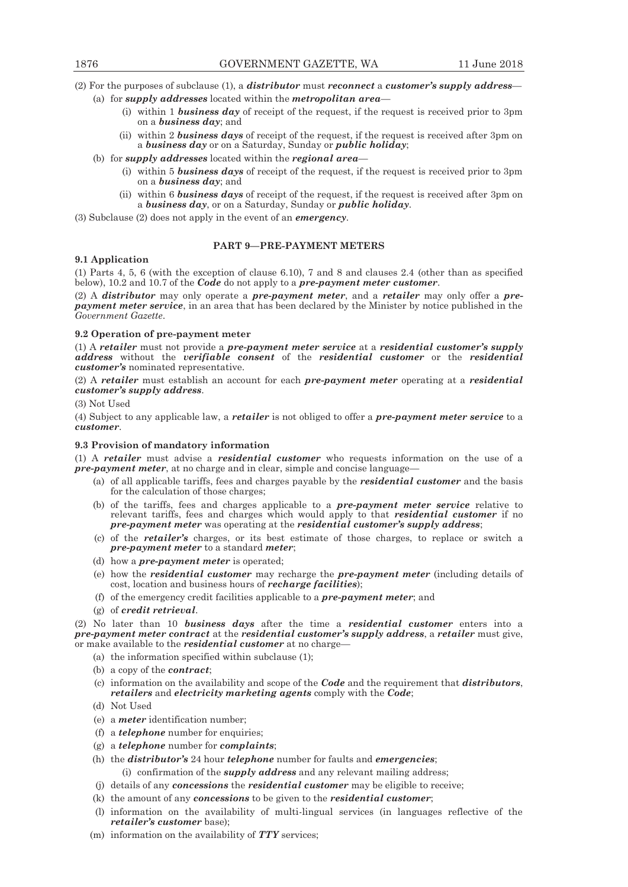(2) For the purposes of subclause (1), a *distributor* must *reconnect* a *customer's supply address*—

- (a) for *supply addresses* located within the *metropolitan area*
	- (i) within 1 *business day* of receipt of the request, if the request is received prior to 3pm on a *business day*; and
	- (ii) within 2 *business days* of receipt of the request, if the request is received after 3pm on a *business day* or on a Saturday, Sunday or *public holiday*;
- (b) for *supply addresses* located within the *regional area*
	- (i) within 5 *business days* of receipt of the request, if the request is received prior to 3pm on a *business day*; and
	- (ii) within 6 *business days* of receipt of the request, if the request is received after 3pm on a *business day*, or on a Saturday, Sunday or *public holiday*.

(3) Subclause (2) does not apply in the event of an *emergency*.

# **PART 9—PRE-PAYMENT METERS**

# **9.1 Application**

(1) Parts 4, 5, 6 (with the exception of clause 6.10), 7 and 8 and clauses 2.4 (other than as specified below), 10.2 and 10.7 of the *Code* do not apply to a *pre-payment meter customer*.

(2) A *distributor* may only operate a *pre-payment meter*, and a *retailer* may only offer a *prepayment meter service*, in an area that has been declared by the Minister by notice published in the *Government Gazette*.

# **9.2 Operation of pre-payment meter**

(1) A *retailer* must not provide a *pre-payment meter service* at a *residential customer's supply address* without the *verifiable consent* of the *residential customer* or the *residential customer's* nominated representative.

(2) A *retailer* must establish an account for each *pre-payment meter* operating at a *residential customer's supply address*.

(3) Not Used

(4) Subject to any applicable law, a *retailer* is not obliged to offer a *pre-payment meter service* to a *customer*.

# **9.3 Provision of mandatory information**

(1) A *retailer* must advise a *residential customer* who requests information on the use of a *pre-payment meter*, at no charge and in clear, simple and concise language-

- (a) of all applicable tariffs, fees and charges payable by the *residential customer* and the basis for the calculation of those charges;
- (b) of the tariffs, fees and charges applicable to a *pre-payment meter service* relative to relevant tariffs, fees and charges which would apply to that *residential customer* if no *pre-payment meter* was operating at the *residential customer's supply address*;
- (c) of the *retailer's* charges, or its best estimate of those charges, to replace or switch a *pre-payment meter* to a standard *meter*;
- (d) how a *pre-payment meter* is operated;
- (e) how the *residential customer* may recharge the *pre-payment meter* (including details of cost, location and business hours of *recharge facilities*);
- (f) of the emergency credit facilities applicable to a *pre-payment meter*; and
- (g) of *credit retrieval*.

(2) No later than 10 *business days* after the time a *residential customer* enters into a *pre-payment meter contract* at the *residential customer's supply address*, a *retailer* must give, or make available to the *residential customer* at no charge—

- (a) the information specified within subclause (1);
- (b) a copy of the *contract*;
- (c) information on the availability and scope of the *Code* and the requirement that *distributors*, *retailers* and *electricity marketing agents* comply with the *Code*;
- (d) Not Used
- (e) a *meter* identification number;
- (f) a *telephone* number for enquiries;
- (g) a *telephone* number for *complaints*;
- (h) the *distributor's* 24 hour *telephone* number for faults and *emergencies*;
	- (i) confirmation of the *supply address* and any relevant mailing address;
- (j) details of any *concessions* the *residential customer* may be eligible to receive;
- (k) the amount of any *concessions* to be given to the *residential customer*;
- (l) information on the availability of multi-lingual services (in languages reflective of the *retailer's customer* base);
- (m) information on the availability of *TTY* services;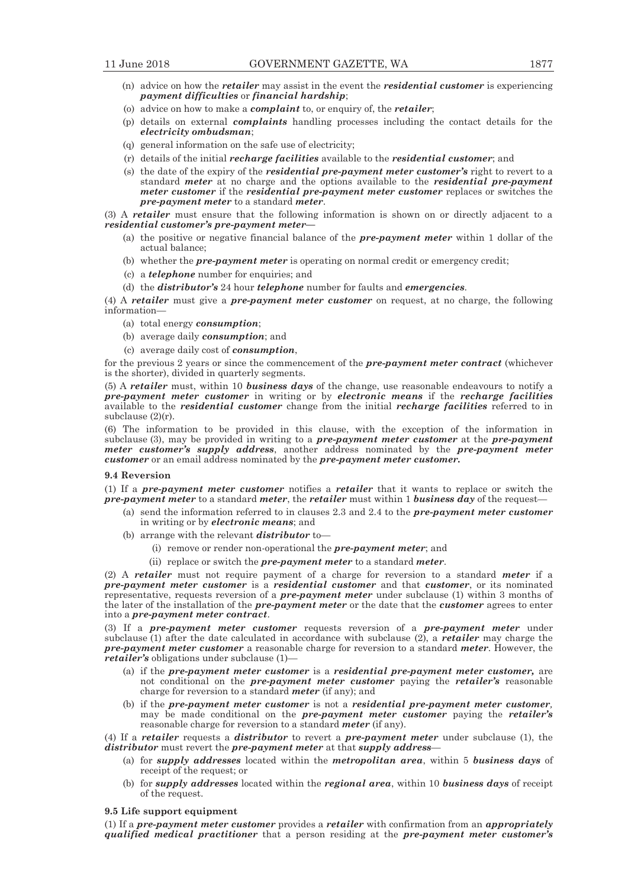- (n) advice on how the *retailer* may assist in the event the *residential customer* is experiencing *payment difficulties* or *financial hardship*;
- (o) advice on how to make a *complaint* to, or enquiry of, the *retailer*;
- (p) details on external *complaints* handling processes including the contact details for the *electricity ombudsman*;
- (q) general information on the safe use of electricity;
- (r) details of the initial *recharge facilities* available to the *residential customer*; and
- (s) the date of the expiry of the *residential pre-payment meter customer's* right to revert to a standard *meter* at no charge and the options available to the *residential* pre-payment *meter customer* if the *residential pre-payment meter customer* replaces or switches the *pre-payment meter* to a standard *meter*.

(3) A *retailer* must ensure that the following information is shown on or directly adjacent to a *residential customer's pre-payment meter—* 

- (a) the positive or negative financial balance of the *pre-payment meter* within 1 dollar of the actual balance;
- (b) whether the *pre-payment meter* is operating on normal credit or emergency credit;
- (c) a *telephone* number for enquiries; and
- (d) the *distributor's* 24 hour *telephone* number for faults and *emergencies*.

(4) A *retailer* must give a *pre-payment meter customer* on request, at no charge, the following information—

- (a) total energy *consumption*;
- (b) average daily *consumption*; and
- (c) average daily cost of *consumption*,

for the previous 2 years or since the commencement of the *pre-payment meter contract* (whichever is the shorter), divided in quarterly segments.

(5) A *retailer* must, within 10 *business days* of the change, use reasonable endeavours to notify a *pre-payment meter customer* in writing or by *electronic means* if the *recharge facilities*  available to the *residential customer* change from the initial *recharge facilities* referred to in subclause (2)(r).

(6) The information to be provided in this clause, with the exception of the information in subclause (3), may be provided in writing to a *pre-payment meter customer* at the *pre-payment meter customer's supply address*, another address nominated by the *pre-payment meter customer* or an email address nominated by the *pre-payment meter customer.*

#### **9.4 Reversion**

(1) If a *pre-payment meter customer* notifies a *retailer* that it wants to replace or switch the *pre-payment meter* to a standard *meter*, the *retailer* must within 1 *business day* of the request—

- (a) send the information referred to in clauses 2.3 and 2.4 to the *pre-payment meter customer* in writing or by *electronic means*; and
- (b) arrange with the relevant *distributor* to—
	- (i) remove or render non-operational the *pre-payment meter*; and
	- (ii) replace or switch the *pre-payment meter* to a standard *meter*.

(2) A *retailer* must not require payment of a charge for reversion to a standard *meter* if a *pre-payment meter customer* is a *residential customer* and that *customer*, or its nominated representative, requests reversion of a *pre-payment meter* under subclause (1) within 3 months of the later of the installation of the *pre-payment meter* or the date that the *customer* agrees to enter into a *pre-payment meter contract*.

(3) If a *pre-payment meter customer* requests reversion of a *pre-payment meter* under subclause (1) after the date calculated in accordance with subclause (2), a *retailer* may charge the *pre-payment meter customer* a reasonable charge for reversion to a standard *meter*. However, the *retailer's* obligations under subclause (1)—

- (a) if the *pre-payment meter customer* is a *residential pre-payment meter customer,* are not conditional on the *pre-payment meter customer* paying the *retailer's* reasonable charge for reversion to a standard *meter* (if any); and
- (b) if the *pre-payment meter customer* is not a *residential pre-payment meter customer,* may be made conditional on the *pre-payment meter customer* paying the *retailer's*  reasonable charge for reversion to a standard *meter* (if any).

(4) If a *retailer* requests a *distributor* to revert a *pre-payment meter* under subclause (1), the *distributor* must revert the *pre-payment meter* at that *supply address*—

- (a) for *supply addresses* located within the *metropolitan area*, within 5 *business days* of receipt of the request; or
- (b) for *supply addresses* located within the *regional area*, within 10 *business days* of receipt of the request.

#### **9.5 Life support equipment**

(1) If a *pre-payment meter customer* provides a *retailer* with confirmation from an *appropriately qualified medical practitioner* that a person residing at the *pre-payment meter customer's*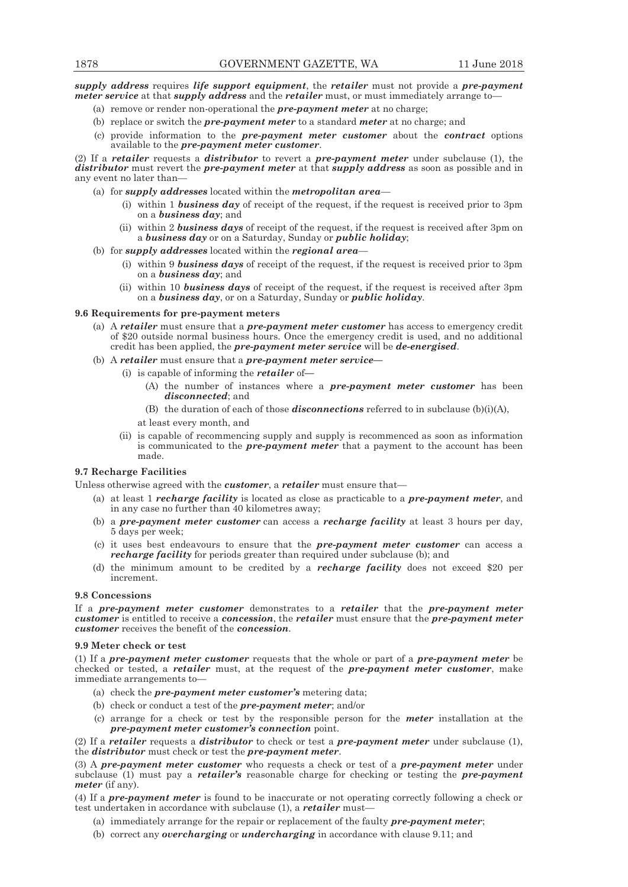*supply address* requires *life support equipment*, the *retailer* must not provide a *pre-payment meter service* at that *supply address* and the *retailer* must, or must immediately arrange to—

- (a) remove or render non-operational the *pre-payment meter* at no charge;
- (b) replace or switch the *pre-payment meter* to a standard *meter* at no charge; and
- (c) provide information to the *pre-payment meter customer* about the *contract* options available to the *pre-payment meter customer*.

(2) If a *retailer* requests a *distributor* to revert a *pre-payment meter* under subclause (1), the *distributor* must revert the *pre-payment meter* at that *supply address* as soon as possible and in any event no later than—

- (a) for *supply addresses* located within the *metropolitan area*
	- (i) within 1 *business day* of receipt of the request, if the request is received prior to 3pm on a *business day*; and
	- (ii) within 2 *business days* of receipt of the request, if the request is received after 3pm on a *business day* or on a Saturday, Sunday or *public holiday*;
- (b) for *supply addresses* located within the *regional area*
	- (i) within 9 *business days* of receipt of the request, if the request is received prior to 3pm on a *business day*; and
	- (ii) within 10 *business days* of receipt of the request, if the request is received after 3pm on a *business day*, or on a Saturday, Sunday or *public holiday*.

# **9.6 Requirements for pre-payment meters**

- (a) A *retailer* must ensure that a *pre-payment meter customer* has access to emergency credit of \$20 outside normal business hours. Once the emergency credit is used, and no additional credit has been applied, the *pre-payment meter service* will be *de-energised*.
- (b) A *retailer* must ensure that a *pre-payment meter service—*
	- (i) is capable of informing the *retailer* of**—**
		- (A) the number of instances where a *pre-payment meter customer* has been *disconnected*; and
		- (B) the duration of each of those *disconnections* referred to in subclause (b)(i)(A),
		- at least every month, and
	- (ii) is capable of recommencing supply and supply is recommenced as soon as information is communicated to the *pre-payment meter* that a payment to the account has been made.

# **9.7 Recharge Facilities**

Unless otherwise agreed with the *customer*, a *retailer* must ensure that—

- (a) at least 1 *recharge facility* is located as close as practicable to a *pre-payment meter*, and in any case no further than 40 kilometres away;
- (b) a *pre-payment meter customer* can access a *recharge facility* at least 3 hours per day, 5 days per week;
- (c) it uses best endeavours to ensure that the *pre-payment meter customer* can access a *recharge facility* for periods greater than required under subclause (b); and
- (d) the minimum amount to be credited by a *recharge facility* does not exceed \$20 per increment.

# **9.8 Concessions**

If a *pre-payment meter customer* demonstrates to a *retailer* that the *pre-payment meter customer* is entitled to receive a *concession*, the *retailer* must ensure that the *pre-payment meter customer* receives the benefit of the *concession*.

# **9.9 Meter check or test**

(1) If a *pre-payment meter customer* requests that the whole or part of a *pre-payment meter* be checked or tested, a *retailer* must, at the request of the *pre-payment meter customer*, make immediate arrangements to—

- (a) check the *pre-payment meter customer's* metering data;
- (b) check or conduct a test of the *pre-payment meter*; and/or
- (c) arrange for a check or test by the responsible person for the *meter* installation at the *pre-payment meter customer's connection* point.

(2) If a *retailer* requests a *distributor* to check or test a *pre-payment meter* under subclause (1), the *distributor* must check or test the *pre-payment meter*.

(3) A *pre-payment meter customer* who requests a check or test of a *pre-payment meter* under subclause (1) must pay a *retailer's* reasonable charge for checking or testing the *pre-payment meter* (if any).

(4) If a *pre-payment meter* is found to be inaccurate or not operating correctly following a check or test undertaken in accordance with subclause (1), a *retailer* must—

- (a) immediately arrange for the repair or replacement of the faulty *pre-payment meter*;
- (b) correct any *overcharging* or *undercharging* in accordance with clause 9.11; and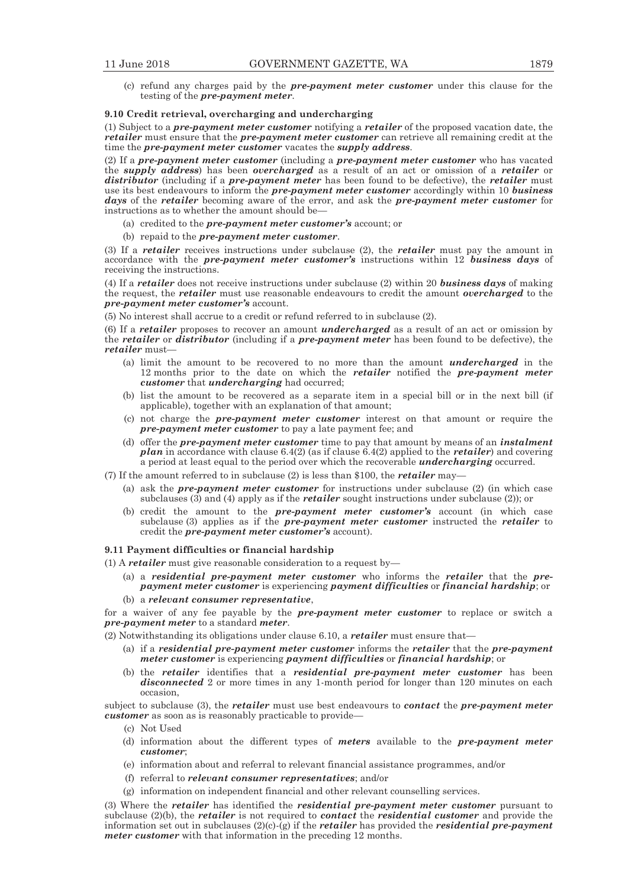(c) refund any charges paid by the *pre-payment meter customer* under this clause for the testing of the *pre-payment meter*.

#### **9.10 Credit retrieval, overcharging and undercharging**

(1) Subject to a *pre-payment meter customer* notifying a *retailer* of the proposed vacation date, the *retailer* must ensure that the *pre-payment meter customer* can retrieve all remaining credit at the time the *pre-payment meter customer* vacates the *supply address*.

(2) If a *pre-payment meter customer* (including a *pre-payment meter customer* who has vacated the *supply address*) has been *overcharged* as a result of an act or omission of a *retailer* or *distributor* (including if a *pre-payment meter* has been found to be defective), the *retailer* must use its best endeavours to inform the *pre-payment meter customer* accordingly within 10 *business days* of the *retailer* becoming aware of the error, and ask the *pre-payment meter customer* for instructions as to whether the amount should be—

- (a) credited to the *pre-payment meter customer's* account; or
- (b) repaid to the *pre-payment meter customer*.

(3) If a *retailer* receives instructions under subclause (2), the *retailer* must pay the amount in accordance with the *pre-payment meter customer's* instructions within 12 *business days* of receiving the instructions.

(4) If a *retailer* does not receive instructions under subclause (2) within 20 *business days* of making the request, the *retailer* must use reasonable endeavours to credit the amount *overcharged* to the *pre-payment meter customer's* account.

(5) No interest shall accrue to a credit or refund referred to in subclause (2).

(6) If a *retailer* proposes to recover an amount *undercharged* as a result of an act or omission by the *retailer* or *distributor* (including if a *pre-payment meter* has been found to be defective), the *retailer* must—

- (a) limit the amount to be recovered to no more than the amount *undercharged* in the 12 months prior to the date on which the *retailer* notified the *pre-payment meter customer* that *undercharging* had occurred;
- (b) list the amount to be recovered as a separate item in a special bill or in the next bill (if applicable), together with an explanation of that amount;
- (c) not charge the *pre-payment meter customer* interest on that amount or require the *pre-payment meter customer* to pay a late payment fee; and
- (d) offer the *pre-payment meter customer* time to pay that amount by means of an *instalment plan* in accordance with clause 6.4(2) (as if clause 6.4(2) applied to the *retailer*) and covering a period at least equal to the period over which the recoverable *undercharging* occurred.
- (7) If the amount referred to in subclause (2) is less than \$100, the *retailer* may—
	- (a) ask the *pre-payment meter customer* for instructions under subclause (2) (in which case subclauses (3) and (4) apply as if the *retailer* sought instructions under subclause (2)); or
	- (b) credit the amount to the *pre-payment meter customer's* account (in which case subclause (3) applies as if the *pre-payment meter customer* instructed the *retailer* to credit the *pre-payment meter customer's* account).

#### **9.11 Payment difficulties or financial hardship**

- (1) A *retailer* must give reasonable consideration to a request by—
	- (a) a *residential pre-payment meter customer* who informs the *retailer* that the *prepayment meter customer* is experiencing *payment difficulties* or *financial hardship*; or
	- (b) a *relevant consumer representative*,

for a waiver of any fee payable by the *pre-payment meter customer* to replace or switch a *pre-payment meter* to a standard *meter*.

(2) Notwithstanding its obligations under clause 6.10, a *retailer* must ensure that—

- (a) if a *residential pre-payment meter customer* informs the *retailer* that the *pre-payment meter customer* is experiencing *payment difficulties* or *financial hardship*; or
- (b) the *retailer* identifies that a *residential pre-payment meter customer* has been *disconnected* 2 or more times in any 1-month period for longer than 120 minutes on each occasion,

subject to subclause (3), the *retailer* must use best endeavours to *contact* the *pre-payment meter customer* as soon as is reasonably practicable to provide—

- (c) Not Used
- (d) information about the different types of *meters* available to the *pre-payment meter customer*;
- (e) information about and referral to relevant financial assistance programmes, and/or
- (f) referral to *relevant consumer representatives*; and/or
- (g) information on independent financial and other relevant counselling services.

(3) Where the *retailer* has identified the *residential pre-payment meter customer* pursuant to subclause (2)(b), the *retailer* is not required to *contact* the *residential customer* and provide the information set out in subclauses  $(2)(c)\cdot(g)$  if the *retailer* has provided the *residential pre-payment meter customer* with that information in the preceding 12 months.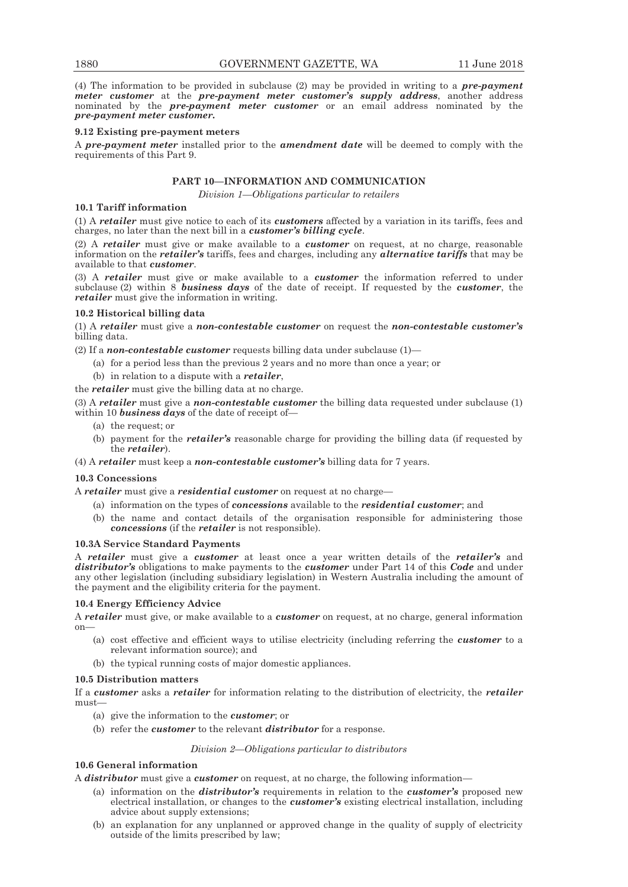(4) The information to be provided in subclause (2) may be provided in writing to a *pre-payment meter customer* at the *pre-payment meter customer's supply address*, another address nominated by the *pre-payment meter customer* or an email address nominated by the *pre-payment meter customer.*

#### **9.12 Existing pre-payment meters**

A *pre-payment meter* installed prior to the *amendment date* will be deemed to comply with the requirements of this Part 9.

# **PART 10—INFORMATION AND COMMUNICATION**

*Division 1—Obligations particular to retailers* 

# **10.1 Tariff information**

(1) A *retailer* must give notice to each of its *customers* affected by a variation in its tariffs, fees and charges, no later than the next bill in a *customer's billing cycle*.

(2) A *retailer* must give or make available to a *customer* on request, at no charge, reasonable information on the *retailer's* tariffs, fees and charges, including any *alternative tariffs* that may be available to that *customer*.

(3) A *retailer* must give or make available to a *customer* the information referred to under subclause (2) within 8 *business days* of the date of receipt. If requested by the *customer*, the *retailer* must give the information in writing.

#### **10.2 Historical billing data**

(1) A *retailer* must give a *non-contestable customer* on request the *non-contestable customer's* billing data.

(2) If a *non-contestable customer* requests billing data under subclause (1)—

- (a) for a period less than the previous 2 years and no more than once a year; or
- (b) in relation to a dispute with a *retailer*,

the *retailer* must give the billing data at no charge.

(3) A *retailer* must give a *non-contestable customer* the billing data requested under subclause (1) within 10 *business days* of the date of receipt of—

- (a) the request; or
- (b) payment for the *retailer's* reasonable charge for providing the billing data (if requested by the *retailer*).
- (4) A *retailer* must keep a *non-contestable customer's* billing data for 7 years.

# **10.3 Concessions**

A *retailer* must give a *residential customer* on request at no charge—

- (a) information on the types of *concessions* available to the *residential customer*; and
- (b) the name and contact details of the organisation responsible for administering those *concessions* (if the *retailer* is not responsible).

#### **10.3A Service Standard Payments**

A *retailer* must give a *customer* at least once a year written details of the *retailer's* and *distributor's* obligations to make payments to the *customer* under Part 14 of this *Code* and under any other legislation (including subsidiary legislation) in Western Australia including the amount of the payment and the eligibility criteria for the payment.

# **10.4 Energy Efficiency Advice**

A *retailer* must give, or make available to a *customer* on request, at no charge, general information on—

- (a) cost effective and efficient ways to utilise electricity (including referring the *customer* to a relevant information source); and
- (b) the typical running costs of major domestic appliances.

# **10.5 Distribution matters**

If a *customer* asks a *retailer* for information relating to the distribution of electricity, the *retailer* must—

- (a) give the information to the *customer*; or
- (b) refer the *customer* to the relevant *distributor* for a response.

#### *Division 2—Obligations particular to distributors*

# **10.6 General information**

A *distributor* must give a *customer* on request, at no charge, the following information—

- (a) information on the *distributor's* requirements in relation to the *customer's* proposed new electrical installation, or changes to the *customer's* existing electrical installation, including advice about supply extensions;
- (b) an explanation for any unplanned or approved change in the quality of supply of electricity outside of the limits prescribed by law;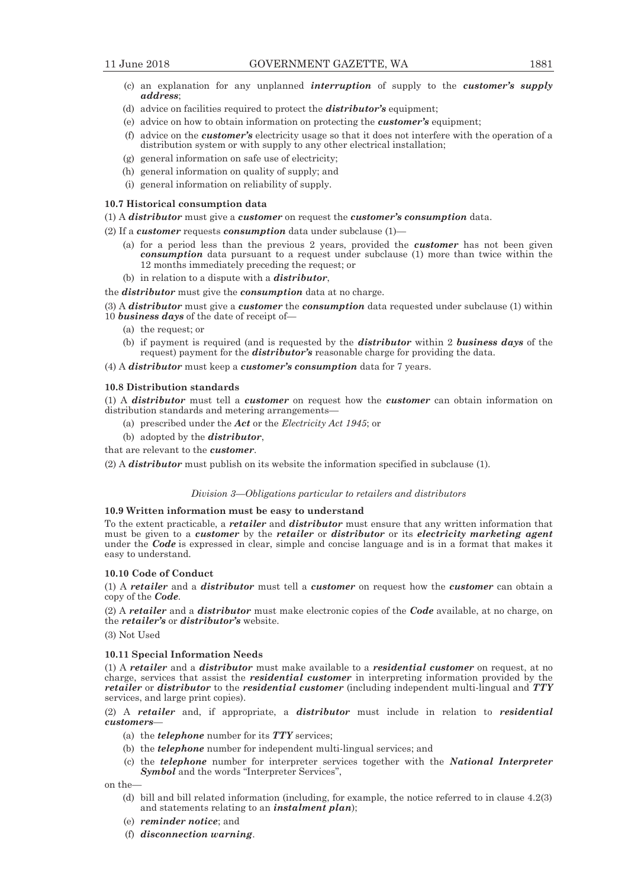- 
- (c) an explanation for any unplanned *interruption* of supply to the *customer's supply address*;
- (d) advice on facilities required to protect the *distributor's* equipment;
- (e) advice on how to obtain information on protecting the *customer's* equipment;
- (f) advice on the *customer's* electricity usage so that it does not interfere with the operation of a distribution system or with supply to any other electrical installation;
- (g) general information on safe use of electricity;
- (h) general information on quality of supply; and
- (i) general information on reliability of supply.

# **10.7 Historical consumption data**

(1) A *distributor* must give a *customer* on request the *customer's consumption* data.

- (2) If a *customer* requests *consumption* data under subclause (1)—
	- (a) for a period less than the previous 2 years, provided the *customer* has not been given *consumption* data pursuant to a request under subclause (1) more than twice within the 12 months immediately preceding the request; or
	- (b) in relation to a dispute with a *distributor*,
- the *distributor* must give the *consumption* data at no charge.
- (3) A *distributor* must give a *customer* the *consumption* data requested under subclause (1) within 10 *business days* of the date of receipt of—
	- (a) the request; or
	- (b) if payment is required (and is requested by the *distributor* within 2 *business days* of the request) payment for the *distributor's* reasonable charge for providing the data.
- (4) A *distributor* must keep a *customer's consumption* data for 7 years.

# **10.8 Distribution standards**

(1) A *distributor* must tell a *customer* on request how the *customer* can obtain information on distribution standards and metering arrangements—

- (a) prescribed under the *Act* or the *Electricity Act 1945*; or
- (b) adopted by the *distributor*,

that are relevant to the *customer*.

(2) A *distributor* must publish on its website the information specified in subclause (1).

# *Division 3—Obligations particular to retailers and distributors*

# **10.9 Written information must be easy to understand**

To the extent practicable, a *retailer* and *distributor* must ensure that any written information that must be given to a *customer* by the *retailer* or *distributor* or its *electricity marketing agent* under the *Code* is expressed in clear, simple and concise language and is in a format that makes it easy to understand.

# **10.10 Code of Conduct**

(1) A *retailer* and a *distributor* must tell a *customer* on request how the *customer* can obtain a copy of the *Code*.

(2) A *retailer* and a *distributor* must make electronic copies of the *Code* available, at no charge, on the *retailer's* or *distributor's* website.

(3) Not Used

#### **10.11 Special Information Needs**

(1) A *retailer* and a *distributor* must make available to a *residential customer* on request, at no charge, services that assist the *residential customer* in interpreting information provided by the *retailer* or *distributor* to the *residential customer* (including independent multi-lingual and *TTY* services, and large print copies).

(2) A *retailer* and, if appropriate, a *distributor* must include in relation to *residential customers*—

- (a) the *telephone* number for its *TTY* services;
- (b) the *telephone* number for independent multi-lingual services; and
- (c) the *telephone* number for interpreter services together with the *National Interpreter*  Symbol and the words "Interpreter Services",

on the—

- (d) bill and bill related information (including, for example, the notice referred to in clause 4.2(3) and statements relating to an *instalment plan*);
- (e) *reminder notice*; and
- (f) *disconnection warning*.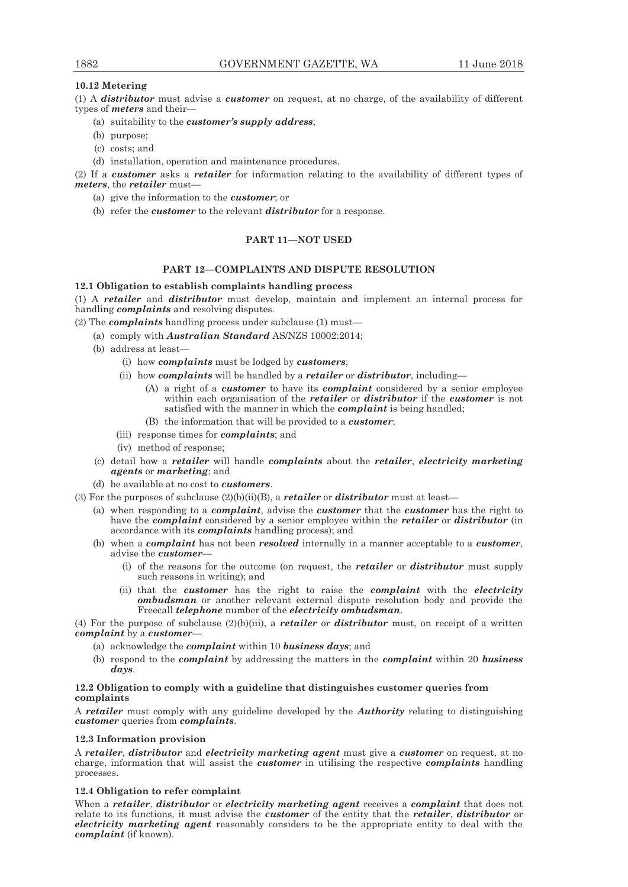# **10.12 Metering**

(1) A *distributor* must advise a *customer* on request, at no charge, of the availability of different types of *meters* and their—

- (a) suitability to the *customer's supply address*;
- (b) purpose;
- (c) costs; and
- (d) installation, operation and maintenance procedures.

(2) If a *customer* asks a *retailer* for information relating to the availability of different types of *meters*, the *retailer* must—

- (a) give the information to the *customer*; or
- (b) refer the *customer* to the relevant *distributor* for a response.

# **PART 11—NOT USED**

# **PART 12—COMPLAINTS AND DISPUTE RESOLUTION**

# **12.1 Obligation to establish complaints handling process**

(1) A *retailer* and *distributor* must develop, maintain and implement an internal process for handling *complaints* and resolving disputes.

(2) The *complaints* handling process under subclause (1) must—

- (a) comply with *Australian Standard* AS/NZS 10002:2014;
- (b) address at least—
	- (i) how *complaints* must be lodged by *customers*;
	- (ii) how *complaints* will be handled by a *retailer* or *distributor*, including—
		- (A) a right of a *customer* to have its *complaint* considered by a senior employee within each organisation of the *retailer* or *distributor* if the *customer* is not satisfied with the manner in which the *complaint* is being handled;
		- (B) the information that will be provided to a *customer*;
	- (iii) response times for *complaints*; and
	- (iv) method of response;
- (c) detail how a *retailer* will handle *complaints* about the *retailer*, *electricity marketing agents* or *marketing*; and
- (d) be available at no cost to *customers*.
- (3) For the purposes of subclause (2)(b)(ii)(B), a *retailer* or *distributor* must at least—
	- (a) when responding to a *complaint*, advise the *customer* that the *customer* has the right to have the *complaint* considered by a senior employee within the *retailer* or *distributor* (in accordance with its *complaints* handling process); and
	- (b) when a *complaint* has not been *resolved* internally in a manner acceptable to a *customer*, advise the *customer*—
		- (i) of the reasons for the outcome (on request, the *retailer* or *distributor* must supply such reasons in writing); and
		- (ii) that the *customer* has the right to raise the *complaint* with the *electricity ombudsman* or another relevant external dispute resolution body and provide the Freecall *telephone* number of the *electricity ombudsman*.

(4) For the purpose of subclause (2)(b)(iii), a *retailer* or *distributor* must, on receipt of a written *complaint* by a *customer*—

- (a) acknowledge the *complaint* within 10 *business days*; and
- (b) respond to the *complaint* by addressing the matters in the *complaint* within 20 *business days*.

# **12.2 Obligation to comply with a guideline that distinguishes customer queries from complaints**

A *retailer* must comply with any guideline developed by the *Authority* relating to distinguishing *customer* queries from *complaints*.

# **12.3 Information provision**

A *retailer*, *distributor* and *electricity marketing agent* must give a *customer* on request, at no charge, information that will assist the *customer* in utilising the respective *complaints* handling processes.

# **12.4 Obligation to refer complaint**

When a *retailer*, *distributor* or *electricity marketing agent* receives a *complaint* that does not relate to its functions, it must advise the *customer* of the entity that the *retailer*, *distributor* or *electricity marketing agent* reasonably considers to be the appropriate entity to deal with the *complaint* (if known).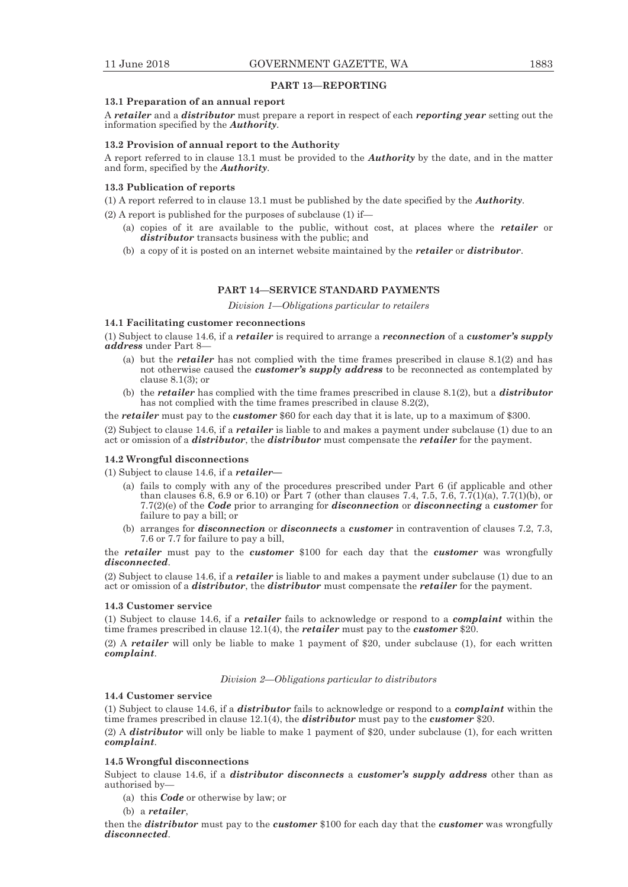## **PART 13—REPORTING**

#### **13.1 Preparation of an annual report**

A *retailer* and a *distributor* must prepare a report in respect of each *reporting year* setting out the information specified by the *Authority*.

# **13.2 Provision of annual report to the Authority**

A report referred to in clause 13.1 must be provided to the *Authority* by the date, and in the matter and form, specified by the *Authority*.

#### **13.3 Publication of reports**

(1) A report referred to in clause 13.1 must be published by the date specified by the *Authority*.

(2) A report is published for the purposes of subclause (1) if—

- (a) copies of it are available to the public, without cost, at places where the *retailer* or *distributor* transacts business with the public; and
- (b) a copy of it is posted on an internet website maintained by the *retailer* or *distributor*.

# **PART 14—SERVICE STANDARD PAYMENTS**

*Division 1—Obligations particular to retailers* 

# **14.1 Facilitating customer reconnections**

(1) Subject to clause 14.6, if a *retailer* is required to arrange a *reconnection* of a *customer's supply address* under Part 8—

- (a) but the *retailer* has not complied with the time frames prescribed in clause 8.1(2) and has not otherwise caused the *customer's supply address* to be reconnected as contemplated by clause  $8.1(3)$ ; or
- (b) the *retailer* has complied with the time frames prescribed in clause 8.1(2), but a *distributor* has not complied with the time frames prescribed in clause 8.2(2),

the *retailer* must pay to the *customer* \$60 for each day that it is late, up to a maximum of \$300.

(2) Subject to clause 14.6, if a *retailer* is liable to and makes a payment under subclause (1) due to an act or omission of a *distributor*, the *distributor* must compensate the *retailer* for the payment.

## **14.2 Wrongful disconnections**

(1) Subject to clause 14.6, if a *retailer—*

- (a) fails to comply with any of the procedures prescribed under Part 6 (if applicable and other than clauses 6.8, 6.9 or 6.10) or Part 7 (other than clauses 7.4, 7.5, 7.6, 7.7(1)(a), 7.7(1)(b), or 7.7(2)(e) of the *Code* prior to arranging for *disconnection* or *disconnecting* a *customer* for failure to pay a bill; or
- (b) arranges for *disconnection* or *disconnects* a *customer* in contravention of clauses 7.2, 7.3, 7.6 or 7.7 for failure to pay a bill,

the *retailer* must pay to the *customer* \$100 for each day that the *customer* was wrongfully *disconnected*.

(2) Subject to clause 14.6, if a *retailer* is liable to and makes a payment under subclause (1) due to an act or omission of a *distributor*, the *distributor* must compensate the *retailer* for the payment.

# **14.3 Customer service**

(1) Subject to clause 14.6, if a *retailer* fails to acknowledge or respond to a *complaint* within the time frames prescribed in clause 12.1(4), the *retailer* must pay to the *customer* \$20.

(2) A *retailer* will only be liable to make 1 payment of \$20, under subclause (1), for each written *complaint*.

*Division 2—Obligations particular to distributors* 

# **14.4 Customer service**

(1) Subject to clause 14.6, if a *distributor* fails to acknowledge or respond to a *complaint* within the time frames prescribed in clause 12.1(4), the *distributor* must pay to the *customer* \$20.

(2) A *distributor* will only be liable to make 1 payment of \$20, under subclause (1), for each written *complaint*.

# **14.5 Wrongful disconnections**

Subject to clause 14.6, if a *distributor disconnects* a *customer's supply address* other than as authorised by—

- (a) this *Code* or otherwise by law; or
- (b) a *retailer*,

then the *distributor* must pay to the *customer* \$100 for each day that the *customer* was wrongfully *disconnected*.